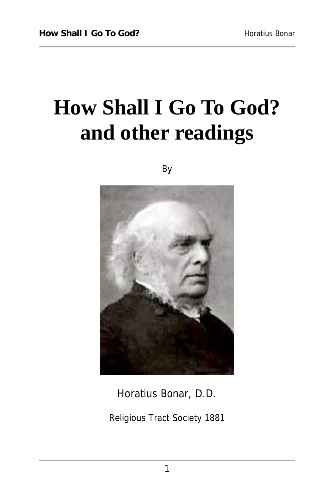# **How Shall I Go To God? and other readings**

By



Horatius Bonar, D.D.

Religious Tract Society 1881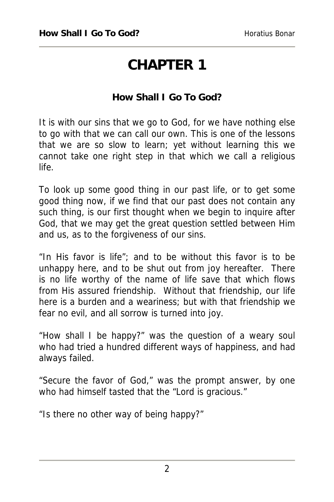## **CHAPTER 1**

### **How Shall I Go To God?**

It is with our sins that we go to God, for we have nothing else to go with that we can call our own. This is one of the lessons that we are so slow to learn; yet without learning this we cannot take one right step in that which we call a religious life.

To look up some good thing in our past life, or to get some good thing now, if we find that our past does not contain any such thing, is our first thought when we begin to inquire after God, that we may get the great question settled between Him and us, as to the forgiveness of our sins.

"In His favor is life"; and to be without this favor is to be unhappy here, and to be shut out from joy hereafter. There is no life worthy of the name of life save that which flows from His assured friendship. Without that friendship, our life here is a burden and a weariness; but with that friendship we fear no evil, and all sorrow is turned into joy.

"How shall I be happy?" was the question of a weary soul who had tried a hundred different ways of happiness, and had always failed.

"Secure the favor of God," was the prompt answer, by one who had himself tasted that the "Lord is gracious."

"Is there no other way of being happy?"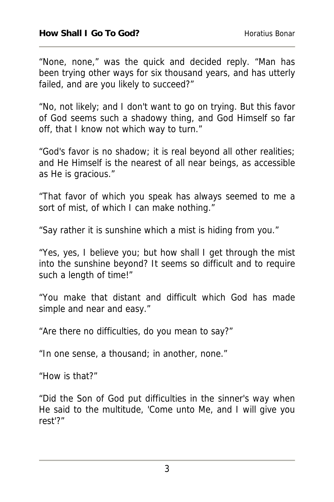"None, none," was the quick and decided reply. "Man has been trying other ways for six thousand years, and has utterly failed, and are you likely to succeed?"

"No, not likely; and I don't want to go on trying. But this favor of God seems such a shadowy thing, and God Himself so far off, that I know not which way to turn."

"God's favor is no shadow; it is real beyond all other realities; and He Himself is the nearest of all near beings, as accessible as He is gracious."

"That favor of which you speak has always seemed to me a sort of mist, of which I can make nothing."

"Say rather it is sunshine which a mist is hiding from you."

"Yes, yes, I believe you; but how shall I get through the mist into the sunshine beyond? It seems so difficult and to require such a length of time!"

"You make that distant and difficult which God has made simple and near and easy."

"Are there no difficulties, do you mean to say?"

"In one sense, a thousand; in another, none."

"How is that?"

"Did the Son of God put difficulties in the sinner's way when He said to the multitude, 'Come unto Me, and I will give you rest'?"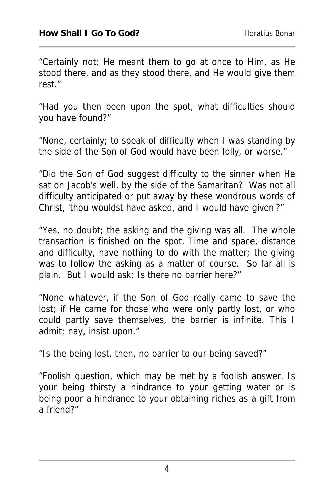"Certainly not; He meant them to go at once to Him, as He stood there, and as they stood there, and He would give them rest."

"Had you then been upon the spot, what difficulties should you have found?"

"None, certainly; to speak of difficulty when I was standing by the side of the Son of God would have been folly, or worse."

"Did the Son of God suggest difficulty to the sinner when He sat on Jacob's well, by the side of the Samaritan? Was not all difficulty anticipated or put away by these wondrous words of Christ, 'thou wouldst have asked, and I would have given'?"

"Yes, no doubt; the asking and the giving was all. The whole transaction is finished on the spot. Time and space, distance and difficulty, have nothing to do with the matter; the giving was to follow the asking as a matter of course. So far all is plain. But I would ask: Is there no barrier here?"

"None whatever, if the Son of God really came to save the lost; if He came for those who were only partly lost, or who could partly save themselves, the barrier is infinite. This I admit; nay, insist upon."

"Is the being lost, then, no barrier to our being saved?"

"Foolish question, which may be met by a foolish answer. Is your being thirsty a hindrance to your getting water or is being poor a hindrance to your obtaining riches as a gift from a friend?"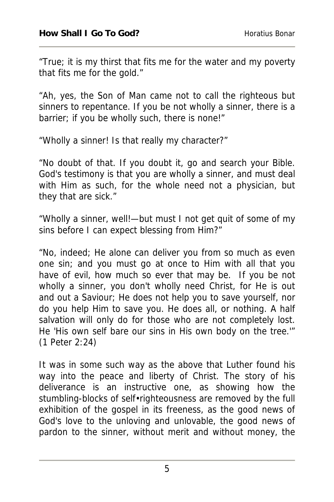"True; it is my thirst that fits me for the water and my poverty that fits me for the gold."

"Ah, yes, the Son of Man came not to call the righteous but sinners to repentance. If you be not wholly a sinner, there is a barrier; if you be wholly such, there is none!"

"Wholly a sinner! Is that really my character?"

"No doubt of that. If you doubt it, go and search your Bible. God's testimony is that you are wholly a sinner, and must deal with Him as such, for the whole need not a physician, but they that are sick."

"Wholly a sinner, well!—but must I not get quit of some of my sins before I can expect blessing from Him?"

"No, indeed; He alone can deliver you from so much as even one sin; and you must go at once to Him with all that you have of evil, how much so ever that may be. If you be not wholly a sinner, you don't wholly need Christ, for He is out and out a Saviour; He does not help you to save yourself, nor do you help Him to save you. He does all, or nothing. A half salvation will only do for those who are not completely lost. He 'His own self bare our sins in His own body on the tree.'" (1 Peter 2:24)

It was in some such way as the above that Luther found his way into the peace and liberty of Christ. The story of his deliverance is an instructive one, as showing how the stumbling-blocks of self•righteousness are removed by the full exhibition of the gospel in its freeness, as the good news of God's love to the unloving and unlovable, the good news of pardon to the sinner, without merit and without money, the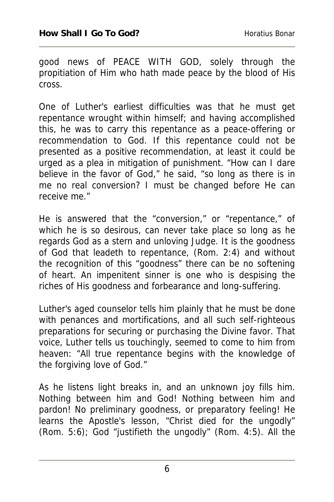good news of PEACE WITH GOD, solely through the propitiation of Him who hath made peace by the blood of His cross.

One of Luther's earliest difficulties was that he must get repentance wrought within himself; and having accomplished this, he was to carry this repentance as a peace-offering or recommendation to God. If this repentance could not be presented as a positive recommendation, at least it could be urged as a plea in mitigation of punishment. "How can I dare believe in the favor of God," he said, "so long as there is in me no real conversion? I must be changed before He can receive me."

He is answered that the "conversion," or "repentance," of which he is so desirous, can never take place so long as he regards God as a stern and unloving Judge. It is the goodness of God that leadeth to repentance, (Rom. 2:4) and without the recognition of this "goodness" there can be no softening of heart. An impenitent sinner is one who is despising the riches of His goodness and forbearance and long-suffering.

Luther's aged counselor tells him plainly that he must be done with penances and mortifications, and all such self-righteous preparations for securing or purchasing the Divine favor. That voice, Luther tells us touchingly, seemed to come to him from heaven: "All true repentance begins with the knowledge of the forgiving love of God."

As he listens light breaks in, and an unknown joy fills him. Nothing between him and God! Nothing between him and pardon! No preliminary goodness, or preparatory feeling! He learns the Apostle's lesson, "Christ died for the ungodly" (Rom. 5:6); God "justifieth the ungodly" (Rom. 4:5). All the

6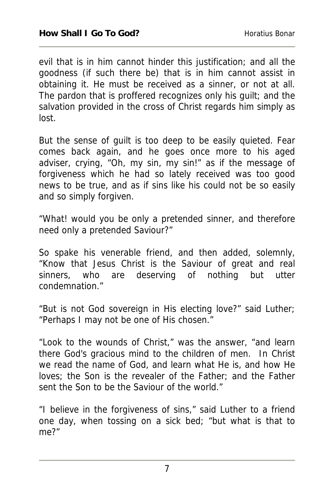evil that is in him cannot hinder this justification; and all the goodness (if such there be) that is in him cannot assist in obtaining it. He must be received as a sinner, or not at all. The pardon that is proffered recognizes only his guilt; and the salvation provided in the cross of Christ regards him simply as lost.

But the sense of guilt is too deep to be easily quieted. Fear comes back again, and he goes once more to his aged adviser, crying, "Oh, my sin, my sin!" as if the message of forgiveness which he had so lately received was too good news to be true, and as if sins like his could not be so easily and so simply forgiven.

"What! would you be only a pretended sinner, and therefore need only a pretended Saviour?"

So spake his venerable friend, and then added, solemnly, "Know that Jesus Christ is the Saviour of great and real sinners, who are deserving of nothing but utter condemnation."

"But is not God sovereign in His electing love?" said Luther; "Perhaps I may not be one of His chosen."

"Look to the wounds of Christ," was the answer, "and learn there God's gracious mind to the children of men. In Christ we read the name of God, and learn what He is, and how He loves; the Son is the revealer of the Father; and the Father sent the Son to be the Saviour of the world."

"I believe in the forgiveness of sins," said Luther to a friend one day, when tossing on a sick bed; "but what is that to me?"

7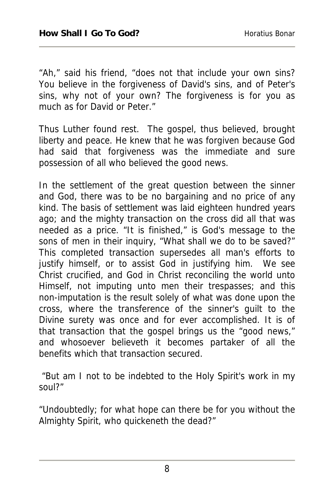"Ah," said his friend, "does not that include your own sins? You believe in the forgiveness of David's sins, and of Peter's sins, why not of your own? The forgiveness is for you as much as for David or Peter."

Thus Luther found rest. The gospel, thus believed, brought liberty and peace. He knew that he was forgiven because God had said that forgiveness was the immediate and sure possession of all who believed the good news.

In the settlement of the great question between the sinner and God, there was to be no bargaining and no price of any kind. The basis of settlement was laid eighteen hundred years ago; and the mighty transaction on the cross did all that was needed as a price. "It is finished," is God's message to the sons of men in their inquiry, "What shall we do to be saved?" This completed transaction supersedes all man's efforts to justify himself, or to assist God in justifying him. We see Christ crucified, and God in Christ reconciling the world unto Himself, not imputing unto men their trespasses; and this non-imputation is the result solely of what was done upon the cross, where the transference of the sinner's guilt to the Divine surety was once and for ever accomplished. It is of that transaction that the gospel brings us the "good news," and whosoever believeth it becomes partaker of all the benefits which that transaction secured.

 "But am I not to be indebted to the Holy Spirit's work in my soul?"

"Undoubtedly; for what hope can there be for you without the Almighty Spirit, who quickeneth the dead?"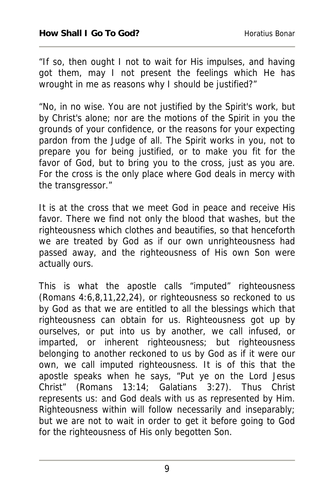"If so, then ought I not to wait for His impulses, and having got them, may I not present the feelings which He has wrought in me as reasons why I should be justified?"

"No, in no wise. You are not justified by the Spirit's work, but by Christ's alone; nor are the motions of the Spirit in you the grounds of your confidence, or the reasons for your expecting pardon from the Judge of all. The Spirit works in you, not to prepare you for being justified, or to make you fit for the favor of God, but to bring you to the cross, just as you are. For the cross is the only place where God deals in mercy with the transgressor."

It is at the cross that we meet God in peace and receive His favor. There we find not only the blood that washes, but the righteousness which clothes and beautifies, so that henceforth we are treated by God as if our own unrighteousness had passed away, and the righteousness of His own Son were actually ours.

This is what the apostle calls "imputed" righteousness (Romans 4:6,8,11,22,24), or righteousness so reckoned to us by God as that we are entitled to all the blessings which that righteousness can obtain for us. Righteousness got up by ourselves, or put into us by another, we call infused, or imparted, or inherent righteousness; but righteousness belonging to another reckoned to us by God as if it were our own, we call imputed righteousness. It is of this that the apostle speaks when he says, "Put ye on the Lord Jesus Christ" (Romans 13:14; Galatians 3:27). Thus Christ represents us: and God deals with us as represented by Him. Righteousness within will follow necessarily and inseparably; but we are not to wait in order to get it before going to God for the righteousness of His only begotten Son.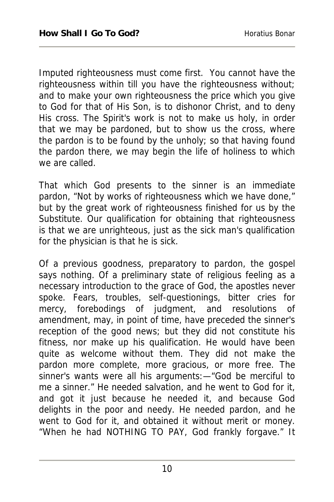Imputed righteousness must come first. You cannot have the righteousness within till you have the righteousness without; and to make your own righteousness the price which you give to God for that of His Son, is to dishonor Christ, and to deny His cross. The Spirit's work is not to make us holy, in order that we may be pardoned, but to show us the cross, where the pardon is to be found by the unholy; so that having found the pardon there, we may begin the life of holiness to which we are called.

That which God presents to the sinner is an immediate pardon, "Not by works of righteousness which we have done," but by the great work of righteousness finished for us by the Substitute. Our qualification for obtaining that righteousness is that we are unrighteous, just as the sick man's qualification for the physician is that he is sick.

Of a previous goodness, preparatory to pardon, the gospel says nothing. Of a preliminary state of religious feeling as a necessary introduction to the grace of God, the apostles never spoke. Fears, troubles, self-questionings, bitter cries for mercy, forebodings of judgment, and resolutions of amendment, may, in point of time, have preceded the sinner's reception of the good news; but they did not constitute his fitness, nor make up his qualification. He would have been quite as welcome without them. They did not make the pardon more complete, more gracious, or more free. The sinner's wants were all his arguments:—"God be merciful to me a sinner." He needed salvation, and he went to God for it, and got it just because he needed it, and because God delights in the poor and needy. He needed pardon, and he went to God for it, and obtained it without merit or money. "When he had NOTHING TO PAY, God frankly forgave." It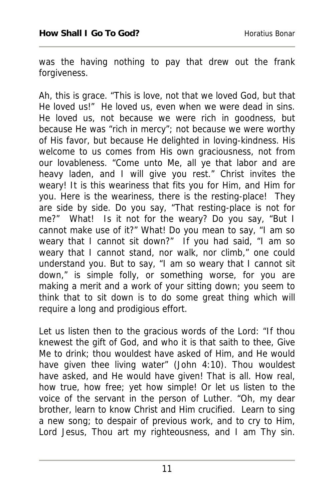was the having nothing to pay that drew out the frank forgiveness.

Ah, this is grace. "This is love, not that we loved God, but that He loved us!" He loved us, even when we were dead in sins. He loved us, not because we were rich in goodness, but because He was "rich in mercy"; not because we were worthy of His favor, but because He delighted in loving-kindness. His welcome to us comes from His own graciousness, not from our lovableness. "Come unto Me, all ye that labor and are heavy laden, and I will give you rest." Christ invites the weary! It is this weariness that fits you for Him, and Him for you. Here is the weariness, there is the resting-place! They are side by side. Do you say, "That resting-place is not for me?" What! Is it not for the weary? Do you say, "But I cannot make use of it?" What! Do you mean to say, "I am so weary that I cannot sit down?" If you had said, "I am so weary that I cannot stand, nor walk, nor climb," one could understand you. But to say, "I am so weary that I cannot sit down," is simple folly, or something worse, for you are making a merit and a work of your sitting down; you seem to think that to sit down is to do some great thing which will require a long and prodigious effort.

Let us listen then to the gracious words of the Lord: "If thou knewest the gift of God, and who it is that saith to thee, Give Me to drink; thou wouldest have asked of Him, and He would have given thee living water" (John 4:10). Thou wouldest have asked, and He would have given! That is all. How real, how true, how free; yet how simple! Or let us listen to the voice of the servant in the person of Luther. "Oh, my dear brother, learn to know Christ and Him crucified. Learn to sing a new song; to despair of previous work, and to cry to Him, Lord Jesus, Thou art my righteousness, and I am Thy sin.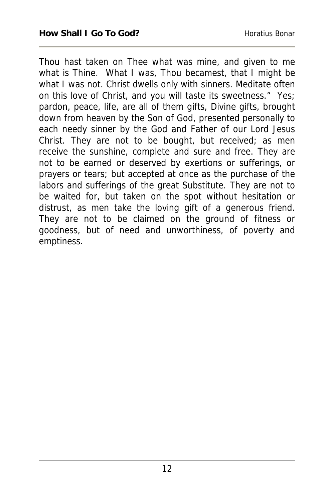Thou hast taken on Thee what was mine, and given to me what is Thine. What I was, Thou becamest, that I might be what I was not. Christ dwells only with sinners. Meditate often on this love of Christ, and you will taste its sweetness." Yes; pardon, peace, life, are all of them gifts, Divine gifts, brought down from heaven by the Son of God, presented personally to each needy sinner by the God and Father of our Lord Jesus Christ. They are not to be bought, but received; as men receive the sunshine, complete and sure and free. They are not to be earned or deserved by exertions or sufferings, or prayers or tears; but accepted at once as the purchase of the labors and sufferings of the great Substitute. They are not to be waited for, but taken on the spot without hesitation or distrust, as men take the loving gift of a generous friend. They are not to be claimed on the ground of fitness or goodness, but of need and unworthiness, of poverty and emptiness.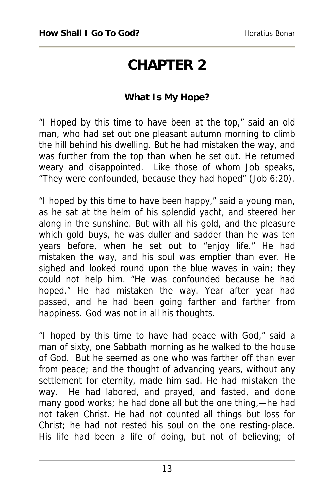### **CHAPTER 2**

#### **What Is My Hope?**

"I Hoped by this time to have been at the top," said an old man, who had set out one pleasant autumn morning to climb the hill behind his dwelling. But he had mistaken the way, and was further from the top than when he set out. He returned weary and disappointed. Like those of whom Job speaks, "They were confounded, because they had hoped" (Job 6:20).

"I hoped by this time to have been happy," said a young man, as he sat at the helm of his splendid yacht, and steered her along in the sunshine. But with all his gold, and the pleasure which gold buys, he was duller and sadder than he was ten years before, when he set out to "enjoy life." He had mistaken the way, and his soul was emptier than ever. He sighed and looked round upon the blue waves in vain; they could not help him. "He was confounded because he had hoped." He had mistaken the way. Year after year had passed, and he had been going farther and farther from happiness. God was not in all his thoughts.

"I hoped by this time to have had peace with God," said a man of sixty, one Sabbath morning as he walked to the house of God. But he seemed as one who was farther off than ever from peace; and the thought of advancing years, without any settlement for eternity, made him sad. He had mistaken the way. He had labored, and prayed, and fasted, and done many good works; he had done all but the one thing,—he had not taken Christ. He had not counted all things but loss for Christ; he had not rested his soul on the one resting-place. His life had been a life of doing, but not of believing; of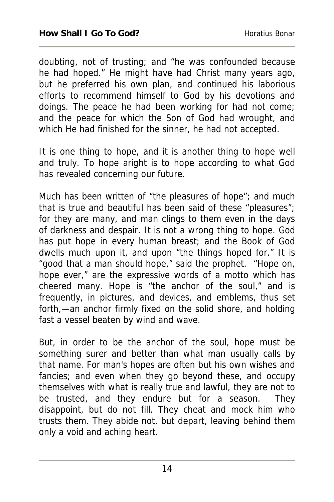doubting, not of trusting; and "he was confounded because he had hoped." He might have had Christ many years ago, but he preferred his own plan, and continued his laborious efforts to recommend himself to God by his devotions and doings. The peace he had been working for had not come; and the peace for which the Son of God had wrought, and which He had finished for the sinner, he had not accepted.

It is one thing to hope, and it is another thing to hope well and truly. To hope aright is to hope according to what God has revealed concerning our future.

Much has been written of "the pleasures of hope"; and much that is true and beautiful has been said of these "pleasures"; for they are many, and man clings to them even in the days of darkness and despair. It is not a wrong thing to hope. God has put hope in every human breast; and the Book of God dwells much upon it, and upon "the things hoped for." It is "good that a man should hope," said the prophet. "Hope on, hope ever," are the expressive words of a motto which has cheered many. Hope is "the anchor of the soul," and is frequently, in pictures, and devices, and emblems, thus set forth,—an anchor firmly fixed on the solid shore, and holding fast a vessel beaten by wind and wave.

But, in order to be the anchor of the soul, hope must be something surer and better than what man usually calls by that name. For man's hopes are often but his own wishes and fancies; and even when they go beyond these, and occupy themselves with what is really true and lawful, they are not to be trusted, and they endure but for a season. They disappoint, but do not fill. They cheat and mock him who trusts them. They abide not, but depart, leaving behind them only a void and aching heart.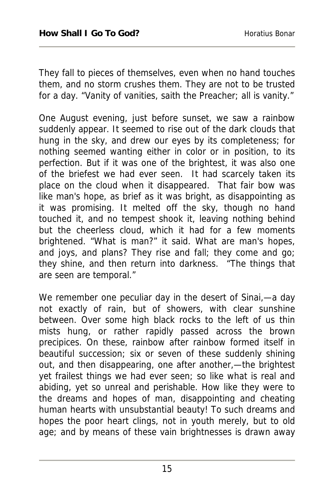They fall to pieces of themselves, even when no hand touches them, and no storm crushes them. They are not to be trusted for a day. "Vanity of vanities, saith the Preacher; all is vanity."

One August evening, just before sunset, we saw a rainbow suddenly appear. It seemed to rise out of the dark clouds that hung in the sky, and drew our eyes by its completeness; for nothing seemed wanting either in color or in position, to its perfection. But if it was one of the brightest, it was also one of the briefest we had ever seen. It had scarcely taken its place on the cloud when it disappeared. That fair bow was like man's hope, as brief as it was bright, as disappointing as it was promising. It melted off the sky, though no hand touched it, and no tempest shook it, leaving nothing behind but the cheerless cloud, which it had for a few moments brightened. "What is man?" it said. What are man's hopes, and joys, and plans? They rise and fall; they come and go; they shine, and then return into darkness. "The things that are seen are temporal."

We remember one peculiar day in the desert of Sinai,—a day not exactly of rain, but of showers, with clear sunshine between. Over some high black rocks to the left of us thin mists hung, or rather rapidly passed across the brown precipices. On these, rainbow after rainbow formed itself in beautiful succession; six or seven of these suddenly shining out, and then disappearing, one after another,—the brightest yet frailest things we had ever seen; so like what is real and abiding, yet so unreal and perishable. How like they were to the dreams and hopes of man, disappointing and cheating human hearts with unsubstantial beauty! To such dreams and hopes the poor heart clings, not in youth merely, but to old age; and by means of these vain brightnesses is drawn away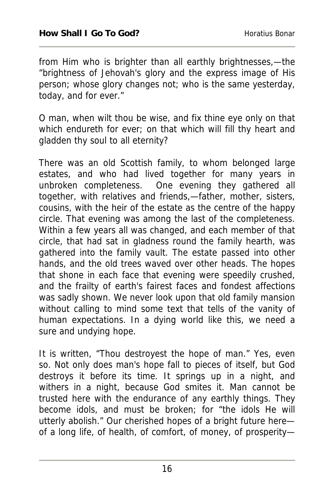from Him who is brighter than all earthly brightnesses,—the "brightness of Jehovah's glory and the express image of His person; whose glory changes not; who is the same yesterday, today, and for ever."

O man, when wilt thou be wise, and fix thine eye only on that which endureth for ever; on that which will fill thy heart and gladden thy soul to all eternity?

There was an old Scottish family, to whom belonged large estates, and who had lived together for many years in unbroken completeness. One evening they gathered all together, with relatives and friends,—father, mother, sisters, cousins, with the heir of the estate as the centre of the happy circle. That evening was among the last of the completeness. Within a few years all was changed, and each member of that circle, that had sat in gladness round the family hearth, was gathered into the family vault. The estate passed into other hands, and the old trees waved over other heads. The hopes that shone in each face that evening were speedily crushed, and the frailty of earth's fairest faces and fondest affections was sadly shown. We never look upon that old family mansion without calling to mind some text that tells of the vanity of human expectations. In a dying world like this, we need a sure and undying hope.

It is written, "Thou destroyest the hope of man." Yes, even so. Not only does man's hope fall to pieces of itself, but God destroys it before its time. It springs up in a night, and withers in a night, because God smites it. Man cannot be trusted here with the endurance of any earthly things. They become idols, and must be broken; for "the idols He will utterly abolish." Our cherished hopes of a bright future here of a long life, of health, of comfort, of money, of prosperity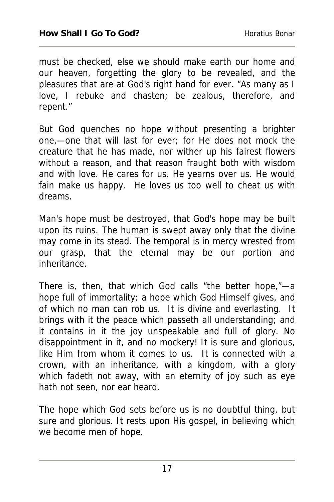must be checked, else we should make earth our home and our heaven, forgetting the glory to be revealed, and the pleasures that are at God's right hand for ever. "As many as I love, I rebuke and chasten; be zealous, therefore, and repent."

But God quenches no hope without presenting a brighter one,—one that will last for ever; for He does not mock the creature that he has made, nor wither up his fairest flowers without a reason, and that reason fraught both with wisdom and with love. He cares for us. He yearns over us. He would fain make us happy. He loves us too well to cheat us with dreams.

Man's hope must be destroyed, that God's hope may be built upon its ruins. The human is swept away only that the divine may come in its stead. The temporal is in mercy wrested from our grasp, that the eternal may be our portion and inheritance.

There is, then, that which God calls "the better hope,"—a hope full of immortality; a hope which God Himself gives, and of which no man can rob us. It is divine and everlasting. It brings with it the peace which passeth all understanding; and it contains in it the joy unspeakable and full of glory. No disappointment in it, and no mockery! It is sure and glorious, like Him from whom it comes to us. It is connected with a crown, with an inheritance, with a kingdom, with a glory which fadeth not away, with an eternity of joy such as eye hath not seen, nor ear heard.

The hope which God sets before us is no doubtful thing, but sure and glorious. It rests upon His gospel, in believing which we become men of hope.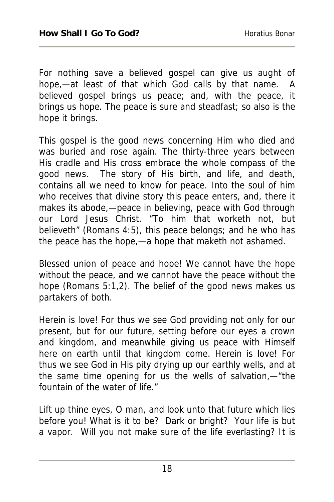For nothing save a believed gospel can give us aught of hope,—at least of that which God calls by that name. A believed gospel brings us peace; and, with the peace, it brings us hope. The peace is sure and steadfast; so also is the hope it brings.

This gospel is the good news concerning Him who died and was buried and rose again. The thirty-three years between His cradle and His cross embrace the whole compass of the good news. The story of His birth, and life, and death, contains all we need to know for peace. Into the soul of him who receives that divine story this peace enters, and, there it makes its abode,—peace in believing, peace with God through our Lord Jesus Christ. "To him that worketh not, but believeth" (Romans 4:5), this peace belongs; and he who has the peace has the hope,—a hope that maketh not ashamed.

Blessed union of peace and hope! We cannot have the hope without the peace, and we cannot have the peace without the hope (Romans 5:1,2). The belief of the good news makes us partakers of both.

Herein is love! For thus we see God providing not only for our present, but for our future, setting before our eyes a crown and kingdom, and meanwhile giving us peace with Himself here on earth until that kingdom come. Herein is love! For thus we see God in His pity drying up our earthly wells, and at the same time opening for us the wells of salvation,—"the fountain of the water of life."

Lift up thine eyes, O man, and look unto that future which lies before you! What is it to be? Dark or bright? Your life is but a vapor. Will you not make sure of the life everlasting? It is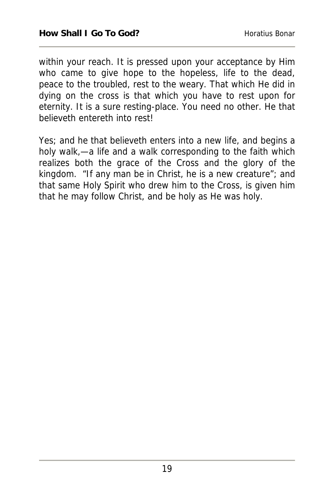within your reach. It is pressed upon your acceptance by Him who came to give hope to the hopeless, life to the dead, peace to the troubled, rest to the weary. That which He did in dying on the cross is that which you have to rest upon for eternity. It is a sure resting-place. You need no other. He that believeth entereth into rest!

Yes; and he that believeth enters into a new life, and begins a holy walk,—a life and a walk corresponding to the faith which realizes both the grace of the Cross and the glory of the kingdom. "If any man be in Christ, he is a new creature"; and that same Holy Spirit who drew him to the Cross, is given him that he may follow Christ, and be holy as He was holy.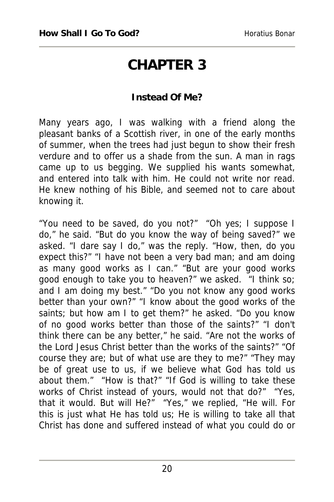### **CHAPTER 3**

#### **Instead Of Me?**

Many years ago, I was walking with a friend along the pleasant banks of a Scottish river, in one of the early months of summer, when the trees had just begun to show their fresh verdure and to offer us a shade from the sun. A man in rags came up to us begging. We supplied his wants somewhat, and entered into talk with him. He could not write nor read. He knew nothing of his Bible, and seemed not to care about knowing it.

"You need to be saved, do you not?" "Oh yes; I suppose I do," he said. "But do you know the way of being saved?" we asked. "I dare say I do," was the reply. "How, then, do you expect this?" "I have not been a very bad man; and am doing as many good works as I can." "But are your good works good enough to take you to heaven?" we asked. "I think so; and I am doing my best." "Do you not know any good works better than your own?" "I know about the good works of the saints; but how am I to get them?" he asked. "Do you know of no good works better than those of the saints?" "I don't think there can be any better," he said. "Are not the works of the Lord Jesus Christ better than the works of the saints?" "Of course they are; but of what use are they to me?" "They may be of great use to us, if we believe what God has told us about them." "How is that?" "If God is willing to take these works of Christ instead of yours, would not that do?" "Yes, that it would. But will He?" "Yes," we replied, "He will. For this is just what He has told us; He is willing to take all that Christ has done and suffered instead of what you could do or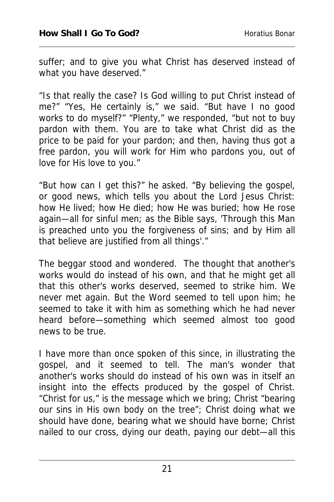suffer; and to give you what Christ has deserved instead of what you have deserved."

"Is that really the case? Is God willing to put Christ instead of me?" "Yes, He certainly is," we said. "But have I no good works to do myself?" "Plenty," we responded, "but not to buy pardon with them. You are to take what Christ did as the price to be paid for your pardon; and then, having thus got a free pardon, you will work for Him who pardons you, out of love for His love to you."

"But how can I get this?" he asked. "By believing the gospel, or good news, which tells you about the Lord Jesus Christ: how He lived; how He died; how He was buried; how He rose again—all for sinful men; as the Bible says, 'Through this Man is preached unto you the forgiveness of sins; and by Him all that believe are justified from all things'."

The beggar stood and wondered. The thought that another's works would do instead of his own, and that he might get all that this other's works deserved, seemed to strike him. We never met again. But the Word seemed to tell upon him; he seemed to take it with him as something which he had never heard before—something which seemed almost too good news to be true.

I have more than once spoken of this since, in illustrating the gospel, and it seemed to tell. The man's wonder that another's works should do instead of his own was in itself an insight into the effects produced by the gospel of Christ. "Christ for us," is the message which we bring; Christ "bearing our sins in His own body on the tree"; Christ doing what we should have done, bearing what we should have borne; Christ nailed to our cross, dying our death, paying our debt—all this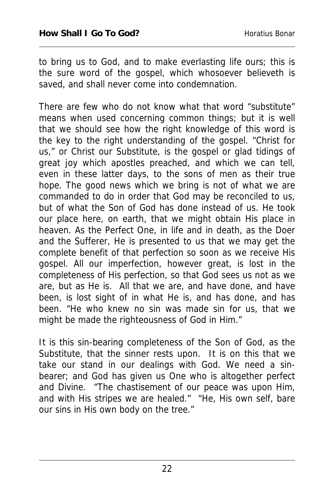to bring us to God, and to make everlasting life ours; this is the sure word of the gospel, which whosoever believeth is saved, and shall never come into condemnation.

There are few who do not know what that word "substitute" means when used concerning common things; but it is well that we should see how the right knowledge of this word is the key to the right understanding of the gospel. "Christ for us," or Christ our Substitute, is the gospel or glad tidings of great joy which apostles preached, and which we can tell, even in these latter days, to the sons of men as their true hope. The good news which we bring is not of what we are commanded to do in order that God may be reconciled to us, but of what the Son of God has done instead of us. He took our place here, on earth, that we might obtain His place in heaven. As the Perfect One, in life and in death, as the Doer and the Sufferer, He is presented to us that we may get the complete benefit of that perfection so soon as we receive His gospel. All our imperfection, however great, is lost in the completeness of His perfection, so that God sees us not as we are, but as He is. All that we are, and have done, and have been, is lost sight of in what He is, and has done, and has been. "He who knew no sin was made sin for us, that we might be made the righteousness of God in Him."

It is this sin-bearing completeness of the Son of God, as the Substitute, that the sinner rests upon. It is on this that we take our stand in our dealings with God. We need a sinbearer; and God has given us One who is altogether perfect and Divine. "The chastisement of our peace was upon Him, and with His stripes we are healed." "He, His own self, bare our sins in His own body on the tree."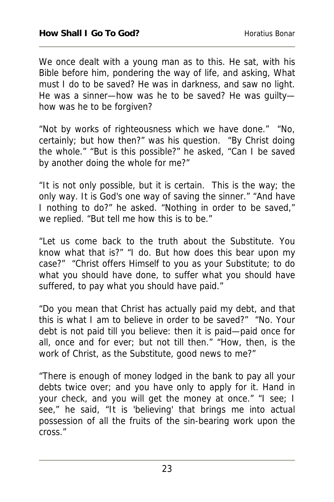We once dealt with a young man as to this. He sat, with his Bible before him, pondering the way of life, and asking, What must I do to be saved? He was in darkness, and saw no light. He was a sinner—how was he to be saved? He was guilty how was he to be forgiven?

"Not by works of righteousness which we have done." "No, certainly; but how then?" was his question. "By Christ doing the whole." "But is this possible?" he asked, "Can I be saved by another doing the whole for me?"

"It is not only possible, but it is certain. This is the way; the only way. It is God's one way of saving the sinner." "And have I nothing to do?" he asked. "Nothing in order to be saved," we replied. "But tell me how this is to be."

"Let us come back to the truth about the Substitute. You know what that is?" "I do. But how does this bear upon my case?" "Christ offers Himself to you as your Substitute; to do what you should have done, to suffer what you should have suffered, to pay what you should have paid."

"Do you mean that Christ has actually paid my debt, and that this is what I am to believe in order to be saved?" "No. Your debt is not paid till you believe: then it is paid—paid once for all, once and for ever; but not till then." "How, then, is the work of Christ, as the Substitute, good news to me?"

"There is enough of money lodged in the bank to pay all your debts twice over; and you have only to apply for it. Hand in your check, and you will get the money at once." "I see; I see," he said, "It is 'believing' that brings me into actual possession of all the fruits of the sin-bearing work upon the cross."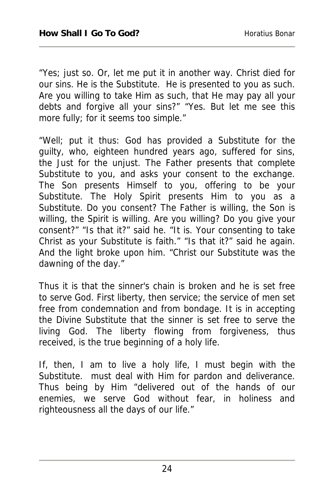"Yes; just so. Or, let me put it in another way. Christ died for our sins. He is the Substitute. He is presented to you as such. Are you willing to take Him as such, that He may pay all your debts and forgive all your sins?" "Yes. But let me see this more fully; for it seems too simple."

"Well; put it thus: God has provided a Substitute for the guilty, who, eighteen hundred years ago, suffered for sins, the Just for the unjust. The Father presents that complete Substitute to you, and asks your consent to the exchange. The Son presents Himself to you, offering to be your Substitute. The Holy Spirit presents Him to you as a Substitute. Do you consent? The Father is willing, the Son is willing, the Spirit is willing. Are you willing? Do you give your consent?" "Is that it?" said he. "It is. Your consenting to take Christ as your Substitute is faith." "Is that it?" said he again. And the light broke upon him. "Christ our Substitute was the dawning of the day."

Thus it is that the sinner's chain is broken and he is set free to serve God. First liberty, then service; the service of men set free from condemnation and from bondage. It is in accepting the Divine Substitute that the sinner is set free to serve the living God. The liberty flowing from forgiveness, thus received, is the true beginning of a holy life.

If, then, I am to live a holy life, I must begin with the Substitute. must deal with Him for pardon and deliverance. Thus being by Him "delivered out of the hands of our enemies, we serve God without fear, in holiness and righteousness all the days of our life."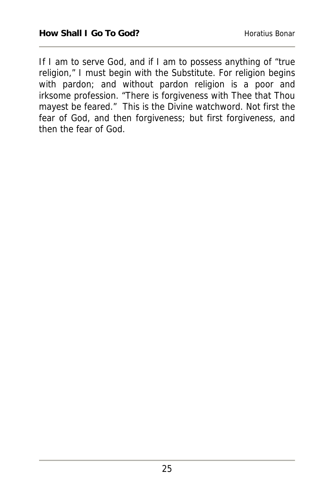If I am to serve God, and if I am to possess anything of "true religion," I must begin with the Substitute. For religion begins with pardon; and without pardon religion is a poor and irksome profession. "There is forgiveness with Thee that Thou mayest be feared." This is the Divine watchword. Not first the fear of God, and then forgiveness; but first forgiveness, and then the fear of God.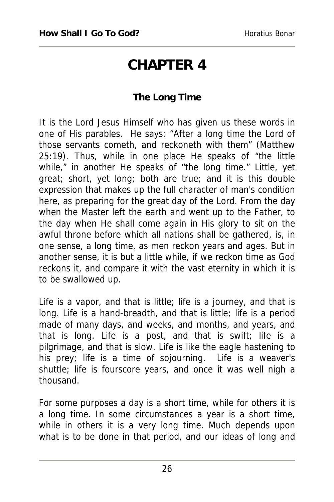### **CHAPTER 4**

### **The Long Time**

It is the Lord Jesus Himself who has given us these words in one of His parables. He says: "After a long time the Lord of those servants cometh, and reckoneth with them" (Matthew 25:19). Thus, while in one place He speaks of "the little while," in another He speaks of "the long time." Little, yet great; short, yet long; both are true; and it is this double expression that makes up the full character of man's condition here, as preparing for the great day of the Lord. From the day when the Master left the earth and went up to the Father, to the day when He shall come again in His glory to sit on the awful throne before which all nations shall be gathered, is, in one sense, a long time, as men reckon years and ages. But in another sense, it is but a little while, if we reckon time as God reckons it, and compare it with the vast eternity in which it is to be swallowed up.

Life is a vapor, and that is little; life is a journey, and that is long. Life is a hand-breadth, and that is little; life is a period made of many days, and weeks, and months, and years, and that is long. Life is a post, and that is swift; life is a pilgrimage, and that is slow. Life is like the eagle hastening to his prey; life is a time of sojourning. Life is a weaver's shuttle; life is fourscore years, and once it was well nigh a thousand.

For some purposes a day is a short time, while for others it is a long time. In some circumstances a year is a short time, while in others it is a very long time. Much depends upon what is to be done in that period, and our ideas of long and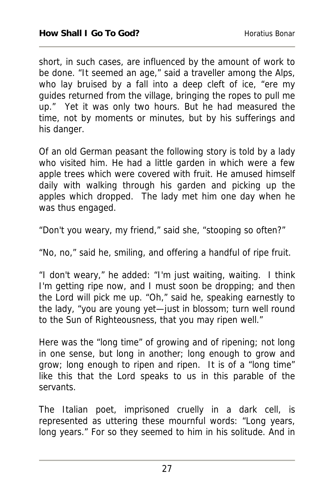short, in such cases, are influenced by the amount of work to be done. "It seemed an age," said a traveller among the Alps, who lay bruised by a fall into a deep cleft of ice, "ere my guides returned from the village, bringing the ropes to pull me up." Yet it was only two hours. But he had measured the time, not by moments or minutes, but by his sufferings and his danger.

Of an old German peasant the following story is told by a lady who visited him. He had a little garden in which were a few apple trees which were covered with fruit. He amused himself daily with walking through his garden and picking up the apples which dropped. The lady met him one day when he was thus engaged.

"Don't you weary, my friend," said she, "stooping so often?"

"No, no," said he, smiling, and offering a handful of ripe fruit.

"I don't weary," he added: "I'm just waiting, waiting. I think I'm getting ripe now, and I must soon be dropping; and then the Lord will pick me up. "Oh," said he, speaking earnestly to the lady, "you are young yet—just in blossom; turn well round to the Sun of Righteousness, that you may ripen well."

Here was the "long time" of growing and of ripening; not long in one sense, but long in another; long enough to grow and grow; long enough to ripen and ripen. It is of a "long time" like this that the Lord speaks to us in this parable of the servants.

The Italian poet, imprisoned cruelly in a dark cell, is represented as uttering these mournful words: "Long years, long years." For so they seemed to him in his solitude. And in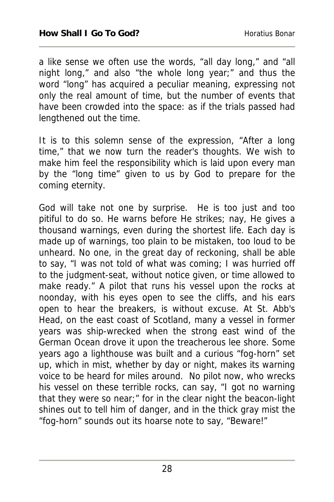a like sense we often use the words, "all day long," and "all night long," and also "the whole long year;" and thus the word "long" has acquired a peculiar meaning, expressing not only the real amount of time, but the number of events that have been crowded into the space: as if the trials passed had lengthened out the time.

It is to this solemn sense of the expression, "After a long time," that we now turn the reader's thoughts. We wish to make him feel the responsibility which is laid upon every man by the "long time" given to us by God to prepare for the coming eternity.

God will take not one by surprise. He is too just and too pitiful to do so. He warns before He strikes; nay, He gives a thousand warnings, even during the shortest life. Each day is made up of warnings, too plain to be mistaken, too loud to be unheard. No one, in the great day of reckoning, shall be able to say, "I was not told of what was coming; I was hurried off to the judgment-seat, without notice given, or time allowed to make ready." A pilot that runs his vessel upon the rocks at noonday, with his eyes open to see the cliffs, and his ears open to hear the breakers, is without excuse. At St. Abb's Head, on the east coast of Scotland, many a vessel in former years was ship-wrecked when the strong east wind of the German Ocean drove it upon the treacherous lee shore. Some years ago a lighthouse was built and a curious "fog-horn" set up, which in mist, whether by day or night, makes its warning voice to be heard for miles around. No pilot now, who wrecks his vessel on these terrible rocks, can say, "I got no warning that they were so near;" for in the clear night the beacon-light shines out to tell him of danger, and in the thick gray mist the "fog-horn" sounds out its hoarse note to say, "Beware!"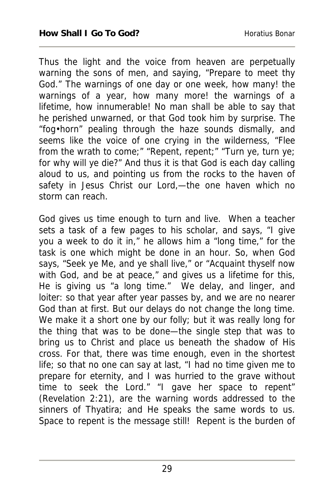Thus the light and the voice from heaven are perpetually warning the sons of men, and saying, "Prepare to meet thy God." The warnings of one day or one week, how many! the warnings of a year, how many more! the warnings of a lifetime, how innumerable! No man shall be able to say that he perished unwarned, or that God took him by surprise. The "fog•horn" pealing through the haze sounds dismally, and seems like the voice of one crying in the wilderness, "Flee from the wrath to come;" "Repent, repent;" "Turn ye, turn ye; for why will ye die?" And thus it is that God is each day calling aloud to us, and pointing us from the rocks to the haven of safety in Jesus Christ our Lord,—the one haven which no storm can reach.

God gives us time enough to turn and live. When a teacher sets a task of a few pages to his scholar, and says, "I give you a week to do it in," he allows him a "long time," for the task is one which might be done in an hour. So, when God says, "Seek ye Me, and ye shall live," or "Acquaint thyself now with God, and be at peace," and gives us a lifetime for this, He is giving us "a long time." We delay, and linger, and loiter: so that year after year passes by, and we are no nearer God than at first. But our delays do not change the long time. We make it a short one by our folly; but it was really long for the thing that was to be done—the single step that was to bring us to Christ and place us beneath the shadow of His cross. For that, there was time enough, even in the shortest life; so that no one can say at last, "I had no time given me to prepare for eternity, and I was hurried to the grave without time to seek the Lord." "I gave her space to repent" (Revelation 2:21), are the warning words addressed to the sinners of Thyatira; and He speaks the same words to us. Space to repent is the message still! Repent is the burden of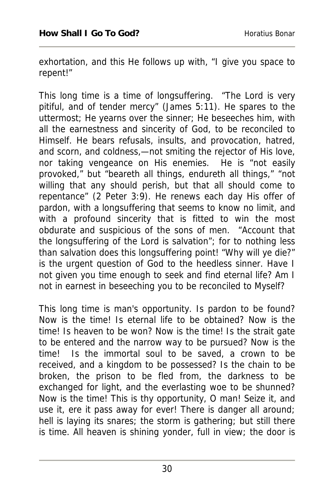exhortation, and this He follows up with, "I give you space to repent!"

This long time is a time of longsuffering. "The Lord is very pitiful, and of tender mercy" (James 5:11). He spares to the uttermost; He yearns over the sinner; He beseeches him, with all the earnestness and sincerity of God, to be reconciled to Himself. He bears refusals, insults, and provocation, hatred, and scorn, and coldness,—not smiting the rejector of His love, nor taking vengeance on His enemies. He is "not easily provoked," but "beareth all things, endureth all things," "not willing that any should perish, but that all should come to repentance" (2 Peter 3:9). He renews each day His offer of pardon, with a longsuffering that seems to know no limit, and with a profound sincerity that is fitted to win the most obdurate and suspicious of the sons of men. "Account that the longsuffering of the Lord is salvation"; for to nothing less than salvation does this longsuffering point! "Why will ye die?" is the urgent question of God to the heedless sinner. Have I not given you time enough to seek and find eternal life? Am I not in earnest in beseeching you to be reconciled to Myself?

This long time is man's opportunity. Is pardon to be found? Now is the time! Is eternal life to be obtained? Now is the time! Is heaven to be won? Now is the time! Is the strait gate to be entered and the narrow way to be pursued? Now is the time! Is the immortal soul to be saved, a crown to be received, and a kingdom to be possessed? Is the chain to be broken, the prison to be fled from, the darkness to be exchanged for light, and the everlasting woe to be shunned? Now is the time! This is thy opportunity, O man! Seize it, and use it, ere it pass away for ever! There is danger all around; hell is laying its snares; the storm is gathering; but still there is time. All heaven is shining yonder, full in view; the door is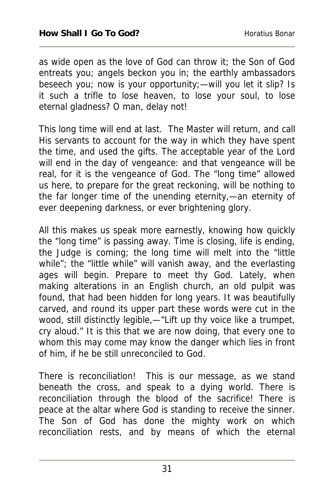as wide open as the love of God can throw it; the Son of God entreats you; angels beckon you in; the earthly ambassadors beseech you; now is your opportunity;—will you let it slip? Is it such a trifle to lose heaven, to lose your soul, to lose eternal gladness? O man, delay not!

This long time will end at last. The Master will return, and call His servants to account for the way in which they have spent the time, and used the gifts. The acceptable year of the Lord will end in the day of vengeance: and that vengeance will be real, for it is the vengeance of God. The "long time" allowed us here, to prepare for the great reckoning, will be nothing to the far longer time of the unending eternity,—an eternity of ever deepening darkness, or ever brightening glory.

All this makes us speak more earnestly, knowing how quickly the "long time" is passing away. Time is closing, life is ending, the Judge is coming; the long time will melt into the "little while"; the "little while" will vanish away, and the everlasting ages will begin. Prepare to meet thy God. Lately, when making alterations in an English church, an old pulpit was found, that had been hidden for long years. It was beautifully carved, and round its upper part these words were cut in the wood, still distinctly legible,—"Lift up thy voice like a trumpet, cry aloud." It is this that we are now doing, that every one to whom this may come may know the danger which lies in front of him, if he be still unreconciled to God.

There is reconciliation! This is our message, as we stand beneath the cross, and speak to a dying world. There is reconciliation through the blood of the sacrifice! There is peace at the altar where God is standing to receive the sinner. The Son of God has done the mighty work on which reconciliation rests, and by means of which the eternal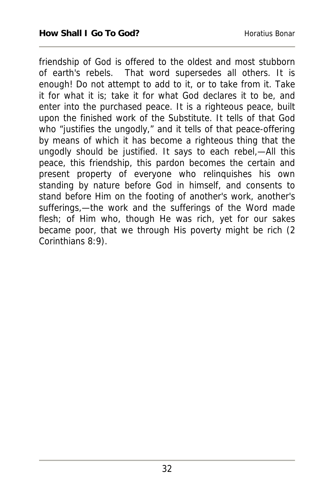friendship of God is offered to the oldest and most stubborn of earth's rebels. That word supersedes all others. It is enough! Do not attempt to add to it, or to take from it. Take it for what it is; take it for what God declares it to be, and enter into the purchased peace. It is a righteous peace, built upon the finished work of the Substitute. It tells of that God who "justifies the ungodly," and it tells of that peace-offering by means of which it has become a righteous thing that the ungodly should be justified. It says to each rebel,—All this peace, this friendship, this pardon becomes the certain and present property of everyone who relinquishes his own standing by nature before God in himself, and consents to stand before Him on the footing of another's work, another's sufferings,—the work and the sufferings of the Word made flesh; of Him who, though He was rich, yet for our sakes became poor, that we through His poverty might be rich (2 Corinthians 8:9).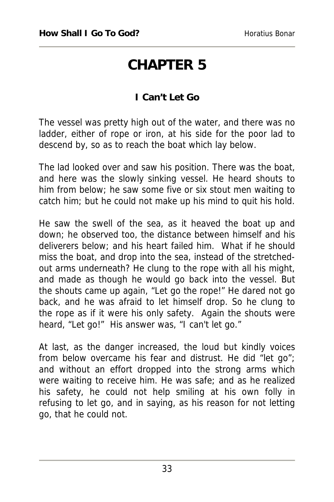### **CHAPTER 5**

### **I Can't Let Go**

The vessel was pretty high out of the water, and there was no ladder, either of rope or iron, at his side for the poor lad to descend by, so as to reach the boat which lay below.

The lad looked over and saw his position. There was the boat, and here was the slowly sinking vessel. He heard shouts to him from below; he saw some five or six stout men waiting to catch him; but he could not make up his mind to quit his hold.

He saw the swell of the sea, as it heaved the boat up and down; he observed too, the distance between himself and his deliverers below; and his heart failed him. What if he should miss the boat, and drop into the sea, instead of the stretchedout arms underneath? He clung to the rope with all his might, and made as though he would go back into the vessel. But the shouts came up again, "Let go the rope!" He dared not go back, and he was afraid to let himself drop. So he clung to the rope as if it were his only safety. Again the shouts were heard, "Let go!" His answer was, "I can't let go."

At last, as the danger increased, the loud but kindly voices from below overcame his fear and distrust. He did "let go"; and without an effort dropped into the strong arms which were waiting to receive him. He was safe; and as he realized his safety, he could not help smiling at his own folly in refusing to let go, and in saying, as his reason for not letting go, that he could not.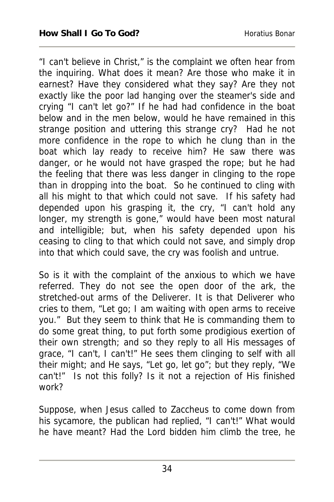"I can't believe in Christ," is the complaint we often hear from the inquiring. What does it mean? Are those who make it in earnest? Have they considered what they say? Are they not exactly like the poor lad hanging over the steamer's side and crying "I can't let go?" If he had had confidence in the boat below and in the men below, would he have remained in this strange position and uttering this strange cry? Had he not more confidence in the rope to which he clung than in the boat which lay ready to receive him? He saw there was danger, or he would not have grasped the rope; but he had the feeling that there was less danger in clinging to the rope than in dropping into the boat. So he continued to cling with all his might to that which could not save. If his safety had depended upon his grasping it, the cry, "I can't hold any longer, my strength is gone," would have been most natural and intelligible; but, when his safety depended upon his ceasing to cling to that which could not save, and simply drop into that which could save, the cry was foolish and untrue.

So is it with the complaint of the anxious to which we have referred. They do not see the open door of the ark, the stretched-out arms of the Deliverer. It is that Deliverer who cries to them, "Let go; I am waiting with open arms to receive you." But they seem to think that He is commanding them to do some great thing, to put forth some prodigious exertion of their own strength; and so they reply to all His messages of grace, "I can't, I can't!" He sees them clinging to self with all their might; and He says, "Let go, let go"; but they reply, "We can't!" Is not this folly? Is it not a rejection of His finished work?

Suppose, when Jesus called to Zaccheus to come down from his sycamore, the publican had replied, "I can't!" What would he have meant? Had the Lord bidden him climb the tree, he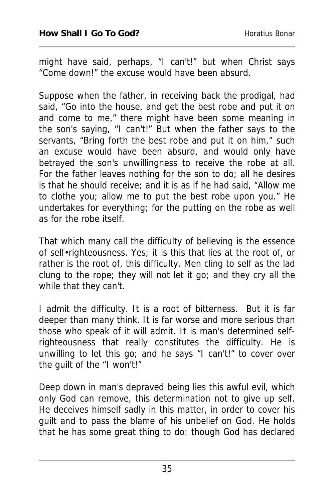might have said, perhaps, "I can't!" but when Christ says "Come down!" the excuse would have been absurd.

Suppose when the father, in receiving back the prodigal, had said, "Go into the house, and get the best robe and put it on and come to me," there might have been some meaning in the son's saying, "I can't!" But when the father says to the servants, "Bring forth the best robe and put it on him," such an excuse would have been absurd, and would only have betrayed the son's unwillingness to receive the robe at all. For the father leaves nothing for the son to do; all he desires is that he should receive; and it is as if he had said, "Allow me to clothe you; allow me to put the best robe upon you." He undertakes for everything; for the putting on the robe as well as for the robe itself.

That which many call the difficulty of believing is the essence of self•righteousness. Yes; it is this that lies at the root of, or rather is the root of, this difficulty. Men cling to self as the lad clung to the rope; they will not let it go; and they cry all the while that they can't.

I admit the difficulty. It is a root of bitterness. But it is far deeper than many think. It is far worse and more serious than those who speak of it will admit. It is man's determined selfrighteousness that really constitutes the difficulty. He is unwilling to let this go; and he says "I can't!" to cover over the guilt of the "I won't!"

Deep down in man's depraved being lies this awful evil, which only God can remove, this determination not to give up self. He deceives himself sadly in this matter, in order to cover his guilt and to pass the blame of his unbelief on God. He holds that he has some great thing to do: though God has declared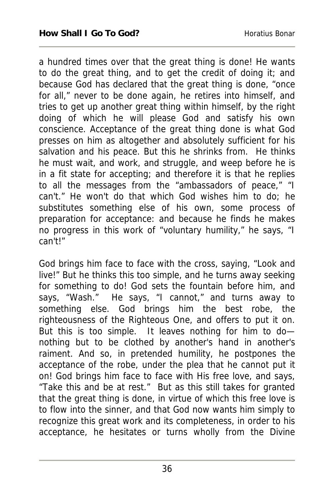a hundred times over that the great thing is done! He wants to do the great thing, and to get the credit of doing it; and because God has declared that the great thing is done, "once for all," never to be done again, he retires into himself, and tries to get up another great thing within himself, by the right doing of which he will please God and satisfy his own conscience. Acceptance of the great thing done is what God presses on him as altogether and absolutely sufficient for his salvation and his peace. But this he shrinks from. He thinks he must wait, and work, and struggle, and weep before he is in a fit state for accepting; and therefore it is that he replies to all the messages from the "ambassadors of peace," "I can't." He won't do that which God wishes him to do; he substitutes something else of his own, some process of preparation for acceptance: and because he finds he makes no progress in this work of "voluntary humility," he says, "I can't!"

God brings him face to face with the cross, saying, "Look and live!" But he thinks this too simple, and he turns away seeking for something to do! God sets the fountain before him, and says, "Wash." He says, "I cannot," and turns away to something else. God brings him the best robe, the righteousness of the Righteous One, and offers to put it on. But this is too simple. It leaves nothing for him to do nothing but to be clothed by another's hand in another's raiment. And so, in pretended humility, he postpones the acceptance of the robe, under the plea that he cannot put it on! God brings him face to face with His free love, and says, "Take this and be at rest." But as this still takes for granted that the great thing is done, in virtue of which this free love is to flow into the sinner, and that God now wants him simply to recognize this great work and its completeness, in order to his acceptance, he hesitates or turns wholly from the Divine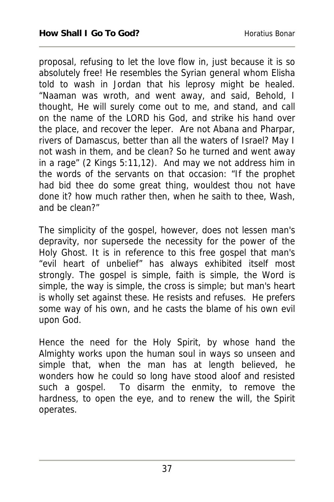proposal, refusing to let the love flow in, just because it is so absolutely free! He resembles the Syrian general whom Elisha told to wash in Jordan that his leprosy might be healed. "Naaman was wroth, and went away, and said, Behold, I thought, He will surely come out to me, and stand, and call on the name of the LORD his God, and strike his hand over the place, and recover the leper. Are not Abana and Pharpar, rivers of Damascus, better than all the waters of Israel? May I not wash in them, and be clean? So he turned and went away in a rage" (2 Kings 5:11,12). And may we not address him in the words of the servants on that occasion: "If the prophet had bid thee do some great thing, wouldest thou not have done it? how much rather then, when he saith to thee, Wash, and be clean?"

The simplicity of the gospel, however, does not lessen man's depravity, nor supersede the necessity for the power of the Holy Ghost. It is in reference to this free gospel that man's "evil heart of unbelief" has always exhibited itself most strongly. The gospel is simple, faith is simple, the Word is simple, the way is simple, the cross is simple; but man's heart is wholly set against these. He resists and refuses. He prefers some way of his own, and he casts the blame of his own evil upon God.

Hence the need for the Holy Spirit, by whose hand the Almighty works upon the human soul in ways so unseen and simple that, when the man has at length believed, he wonders how he could so long have stood aloof and resisted such a gospel. To disarm the enmity, to remove the hardness, to open the eye, and to renew the will, the Spirit operates.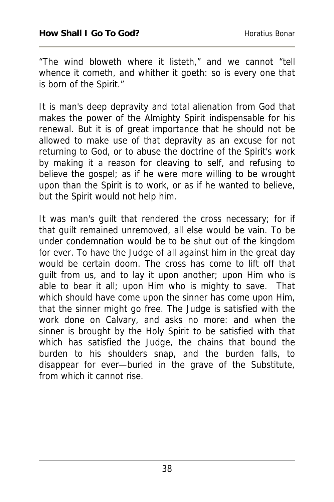"The wind bloweth where it listeth," and we cannot "tell whence it cometh, and whither it goeth: so is every one that is born of the Spirit."

It is man's deep depravity and total alienation from God that makes the power of the Almighty Spirit indispensable for his renewal. But it is of great importance that he should not be allowed to make use of that depravity as an excuse for not returning to God, or to abuse the doctrine of the Spirit's work by making it a reason for cleaving to self, and refusing to believe the gospel; as if he were more willing to be wrought upon than the Spirit is to work, or as if he wanted to believe, but the Spirit would not help him.

It was man's guilt that rendered the cross necessary; for if that guilt remained unremoved, all else would be vain. To be under condemnation would be to be shut out of the kingdom for ever. To have the Judge of all against him in the great day would be certain doom. The cross has come to lift off that guilt from us, and to lay it upon another; upon Him who is able to bear it all; upon Him who is mighty to save. That which should have come upon the sinner has come upon Him, that the sinner might go free. The Judge is satisfied with the work done on Calvary, and asks no more: and when the sinner is brought by the Holy Spirit to be satisfied with that which has satisfied the Judge, the chains that bound the burden to his shoulders snap, and the burden falls, to disappear for ever—buried in the grave of the Substitute, from which it cannot rise.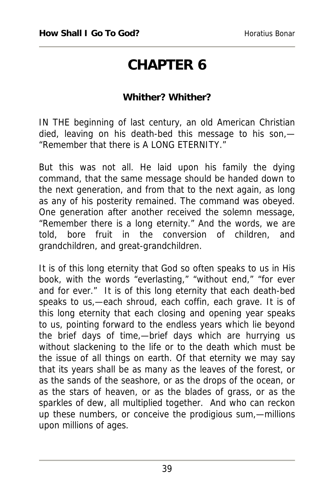# **CHAPTER 6**

#### **Whither? Whither?**

IN THE beginning of last century, an old American Christian died, leaving on his death-bed this message to his son,— "Remember that there is A LONG ETERNITY."

But this was not all. He laid upon his family the dying command, that the same message should be handed down to the next generation, and from that to the next again, as long as any of his posterity remained. The command was obeyed. One generation after another received the solemn message, "Remember there is a long eternity." And the words, we are told, bore fruit in the conversion of children, and grandchildren, and great-grandchildren.

It is of this long eternity that God so often speaks to us in His book, with the words "everlasting," "without end," "for ever and for ever." It is of this long eternity that each death-bed speaks to us,—each shroud, each coffin, each grave. It is of this long eternity that each closing and opening year speaks to us, pointing forward to the endless years which lie beyond the brief days of time,—brief days which are hurrying us without slackening to the life or to the death which must be the issue of all things on earth. Of that eternity we may say that its years shall be as many as the leaves of the forest, or as the sands of the seashore, or as the drops of the ocean, or as the stars of heaven, or as the blades of grass, or as the sparkles of dew, all multiplied together. And who can reckon up these numbers, or conceive the prodigious sum,—millions upon millions of ages.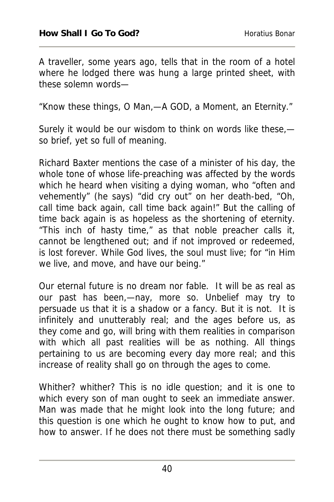A traveller, some years ago, tells that in the room of a hotel where he lodged there was hung a large printed sheet, with these solemn words—

"Know these things, O Man,—A GOD, a Moment, an Eternity."

Surely it would be our wisdom to think on words like these, so brief, yet so full of meaning.

Richard Baxter mentions the case of a minister of his day, the whole tone of whose life-preaching was affected by the words which he heard when visiting a dying woman, who "often and vehemently" (he says) "did cry out" on her death-bed, "Oh, call time back again, call time back again!" But the calling of time back again is as hopeless as the shortening of eternity. "This inch of hasty time," as that noble preacher calls it, cannot be lengthened out; and if not improved or redeemed, is lost forever. While God lives, the soul must live; for "in Him we live, and move, and have our being."

Our eternal future is no dream nor fable. It will be as real as our past has been,—nay, more so. Unbelief may try to persuade us that it is a shadow or a fancy. But it is not. It is infinitely and unutterably real; and the ages before us, as they come and go, will bring with them realities in comparison with which all past realities will be as nothing. All things pertaining to us are becoming every day more real; and this increase of reality shall go on through the ages to come.

Whither? whither? This is no idle question; and it is one to which every son of man ought to seek an immediate answer. Man was made that he might look into the long future; and this question is one which he ought to know how to put, and how to answer. If he does not there must be something sadly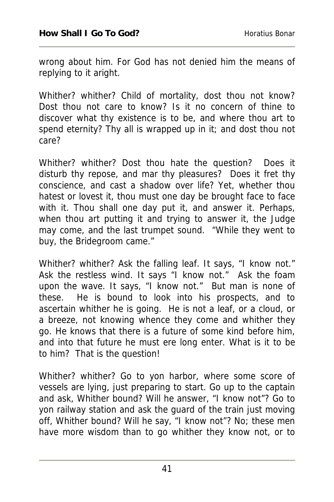wrong about him. For God has not denied him the means of replying to it aright.

Whither? whither? Child of mortality, dost thou not know? Dost thou not care to know? Is it no concern of thine to discover what thy existence is to be, and where thou art to spend eternity? Thy all is wrapped up in it; and dost thou not care?

Whither? whither? Dost thou hate the question? Does it disturb thy repose, and mar thy pleasures? Does it fret thy conscience, and cast a shadow over life? Yet, whether thou hatest or lovest it, thou must one day be brought face to face with it. Thou shall one day put it, and answer it. Perhaps, when thou art putting it and trying to answer it, the Judge may come, and the last trumpet sound. "While they went to buy, the Bridegroom came."

Whither? whither? Ask the falling leaf. It says, "I know not." Ask the restless wind. It says "I know not." Ask the foam upon the wave. It says, "I know not." But man is none of these. He is bound to look into his prospects, and to ascertain whither he is going. He is not a leaf, or a cloud, or a breeze, not knowing whence they come and whither they go. He knows that there is a future of some kind before him, and into that future he must ere long enter. What is it to be to him? That is the question!

Whither? whither? Go to yon harbor, where some score of vessels are lying, just preparing to start. Go up to the captain and ask, Whither bound? Will he answer, "I know not"? Go to yon railway station and ask the guard of the train just moving off, Whither bound? Will he say, "I know not"? No; these men have more wisdom than to go whither they know not, or to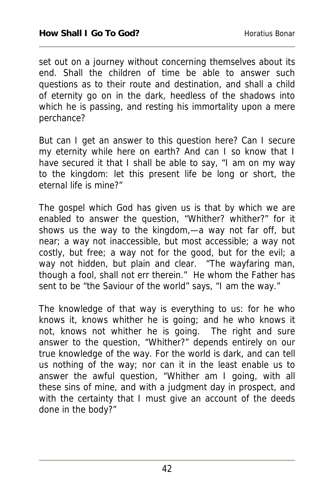set out on a journey without concerning themselves about its end. Shall the children of time be able to answer such questions as to their route and destination, and shall a child of eternity go on in the dark, heedless of the shadows into which he is passing, and resting his immortality upon a mere perchance?

But can I get an answer to this question here? Can I secure my eternity while here on earth? And can I so know that I have secured it that I shall be able to say, "I am on my way to the kingdom: let this present life be long or short, the eternal life is mine?"

The gospel which God has given us is that by which we are enabled to answer the question, "Whither? whither?" for it shows us the way to the kingdom,—a way not far off, but near; a way not inaccessible, but most accessible; a way not costly, but free; a way not for the good, but for the evil; a way not hidden, but plain and clear. "The wayfaring man, though a fool, shall not err therein." He whom the Father has sent to be "the Saviour of the world" says, "I am the way."

The knowledge of that way is everything to us: for he who knows it, knows whither he is going; and he who knows it not, knows not whither he is going. The right and sure answer to the question, "Whither?" depends entirely on our true knowledge of the way. For the world is dark, and can tell us nothing of the way; nor can it in the least enable us to answer the awful question, "Whither am I going, with all these sins of mine, and with a judgment day in prospect, and with the certainty that I must give an account of the deeds done in the body?"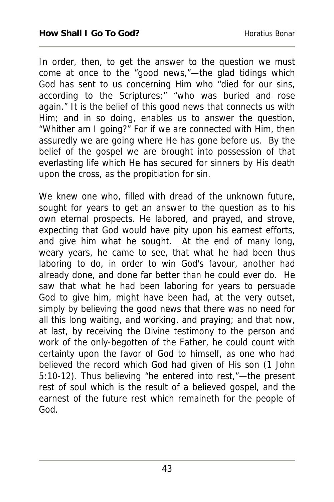In order, then, to get the answer to the question we must come at once to the "good news,"—the glad tidings which God has sent to us concerning Him who "died for our sins, according to the Scriptures;" "who was buried and rose again." It is the belief of this good news that connects us with Him; and in so doing, enables us to answer the question, "Whither am I going?" For if we are connected with Him, then assuredly we are going where He has gone before us. By the belief of the gospel we are brought into possession of that everlasting life which He has secured for sinners by His death upon the cross, as the propitiation for sin.

We knew one who, filled with dread of the unknown future, sought for years to get an answer to the question as to his own eternal prospects. He labored, and prayed, and strove, expecting that God would have pity upon his earnest efforts, and give him what he sought. At the end of many long, weary years, he came to see, that what he had been thus laboring to do, in order to win God's favour, another had already done, and done far better than he could ever do. He saw that what he had been laboring for years to persuade God to give him, might have been had, at the very outset, simply by believing the good news that there was no need for all this long waiting, and working, and praying; and that now, at last, by receiving the Divine testimony to the person and work of the only-begotten of the Father, he could count with certainty upon the favor of God to himself, as one who had believed the record which God had given of His son (1 John 5:10-12). Thus believing "he entered into rest,"—the present rest of soul which is the result of a believed gospel, and the earnest of the future rest which remaineth for the people of God.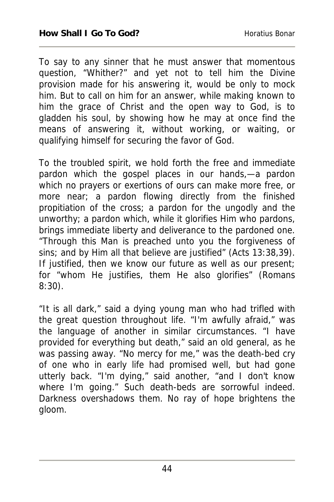To say to any sinner that he must answer that momentous question, "Whither?" and yet not to tell him the Divine provision made for his answering it, would be only to mock him. But to call on him for an answer, while making known to him the grace of Christ and the open way to God, is to gladden his soul, by showing how he may at once find the means of answering it, without working, or waiting, or qualifying himself for securing the favor of God.

To the troubled spirit, we hold forth the free and immediate pardon which the gospel places in our hands,—a pardon which no prayers or exertions of ours can make more free, or more near; a pardon flowing directly from the finished propitiation of the cross; a pardon for the ungodly and the unworthy; a pardon which, while it glorifies Him who pardons, brings immediate liberty and deliverance to the pardoned one. "Through this Man is preached unto you the forgiveness of sins; and by Him all that believe are justified" (Acts 13:38,39). If justified, then we know our future as well as our present; for "whom He justifies, them He also glorifies" (Romans 8:30).

"It is all dark," said a dying young man who had trifled with the great question throughout life. "I'm awfully afraid," was the language of another in similar circumstances. "I have provided for everything but death," said an old general, as he was passing away. "No mercy for me," was the death-bed cry of one who in early life had promised well, but had gone utterly back. "I'm dying," said another, "and I don't know where I'm going." Such death-beds are sorrowful indeed. Darkness overshadows them. No ray of hope brightens the gloom.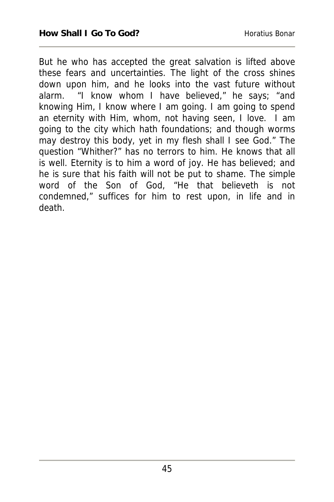But he who has accepted the great salvation is lifted above these fears and uncertainties. The light of the cross shines down upon him, and he looks into the vast future without alarm. "I know whom I have believed," he says; "and knowing Him, I know where I am going. I am going to spend an eternity with Him, whom, not having seen, I love. I am going to the city which hath foundations; and though worms may destroy this body, yet in my flesh shall I see God." The question "Whither?" has no terrors to him. He knows that all is well. Eternity is to him a word of joy. He has believed; and he is sure that his faith will not be put to shame. The simple word of the Son of God, "He that believeth is not condemned," suffices for him to rest upon, in life and in death.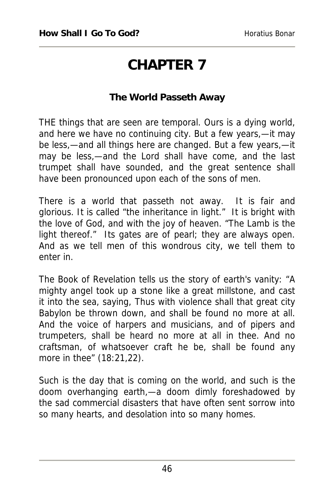# **CHAPTER 7**

### **The World Passeth Away**

THE things that are seen are temporal. Ours is a dying world, and here we have no continuing city. But a few years,—it may be less,—and all things here are changed. But a few years,—it may be less,—and the Lord shall have come, and the last trumpet shall have sounded, and the great sentence shall have been pronounced upon each of the sons of men.

There is a world that passeth not away. It is fair and glorious. It is called "the inheritance in light." It is bright with the love of God, and with the joy of heaven. "The Lamb is the light thereof." Its gates are of pearl; they are always open. And as we tell men of this wondrous city, we tell them to enter in.

The Book of Revelation tells us the story of earth's vanity: "A mighty angel took up a stone like a great millstone, and cast it into the sea, saying, Thus with violence shall that great city Babylon be thrown down, and shall be found no more at all. And the voice of harpers and musicians, and of pipers and trumpeters, shall be heard no more at all in thee. And no craftsman, of whatsoever craft he be, shall be found any more in thee" (18:21,22).

Such is the day that is coming on the world, and such is the doom overhanging earth,—a doom dimly foreshadowed by the sad commercial disasters that have often sent sorrow into so many hearts, and desolation into so many homes.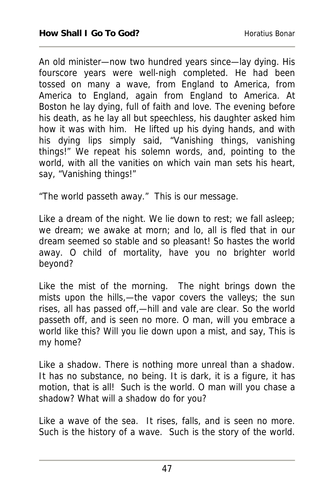An old minister—now two hundred years since—lay dying. His fourscore years were well-nigh completed. He had been tossed on many a wave, from England to America, from America to England, again from England to America. At Boston he lay dying, full of faith and love. The evening before his death, as he lay all but speechless, his daughter asked him how it was with him. He lifted up his dying hands, and with his dying lips simply said, "Vanishing things, vanishing things!" We repeat his solemn words, and, pointing to the world, with all the vanities on which vain man sets his heart, say, "Vanishing things!"

"The world passeth away." This is our message.

Like a dream of the night. We lie down to rest; we fall asleep; we dream; we awake at morn; and lo, all is fled that in our dream seemed so stable and so pleasant! So hastes the world away. O child of mortality, have you no brighter world beyond?

Like the mist of the morning. The night brings down the mists upon the hills,—the vapor covers the valleys; the sun rises, all has passed off,—hill and vale are clear. So the world passeth off, and is seen no more. O man, will you embrace a world like this? Will you lie down upon a mist, and say, This is my home?

Like a shadow. There is nothing more unreal than a shadow. It has no substance, no being. It is dark, it is a figure, it has motion, that is all! Such is the world. O man will you chase a shadow? What will a shadow do for you?

Like a wave of the sea. It rises, falls, and is seen no more. Such is the history of a wave. Such is the story of the world.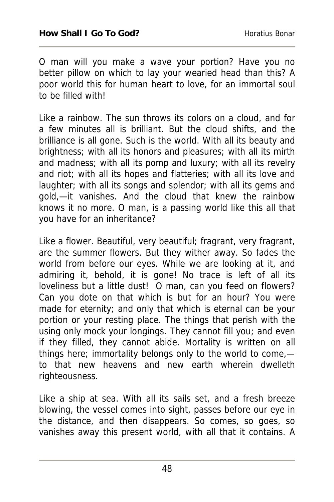O man will you make a wave your portion? Have you no better pillow on which to lay your wearied head than this? A poor world this for human heart to love, for an immortal soul to be filled with!

Like a rainbow. The sun throws its colors on a cloud, and for a few minutes all is brilliant. But the cloud shifts, and the brilliance is all gone. Such is the world. With all its beauty and brightness; with all its honors and pleasures; with all its mirth and madness; with all its pomp and luxury; with all its revelry and riot; with all its hopes and flatteries; with all its love and laughter; with all its songs and splendor; with all its gems and gold,—it vanishes. And the cloud that knew the rainbow knows it no more. O man, is a passing world like this all that you have for an inheritance?

Like a flower. Beautiful, very beautiful; fragrant, very fragrant, are the summer flowers. But they wither away. So fades the world from before our eyes. While we are looking at it, and admiring it, behold, it is gone! No trace is left of all its loveliness but a little dust! O man, can you feed on flowers? Can you dote on that which is but for an hour? You were made for eternity; and only that which is eternal can be your portion or your resting place. The things that perish with the using only mock your longings. They cannot fill you; and even if they filled, they cannot abide. Mortality is written on all things here; immortality belongs only to the world to come, to that new heavens and new earth wherein dwelleth righteousness.

Like a ship at sea. With all its sails set, and a fresh breeze blowing, the vessel comes into sight, passes before our eye in the distance, and then disappears. So comes, so goes, so vanishes away this present world, with all that it contains. A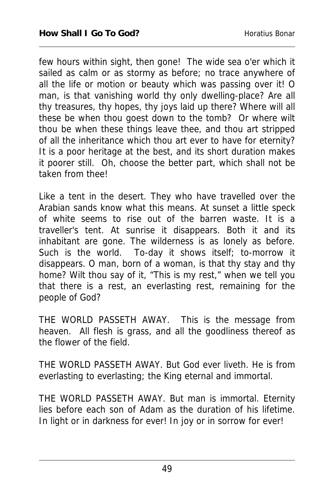few hours within sight, then gone! The wide sea o'er which it sailed as calm or as stormy as before; no trace anywhere of all the life or motion or beauty which was passing over it! O man, is that vanishing world thy only dwelling-place? Are all thy treasures, thy hopes, thy joys laid up there? Where will all these be when thou goest down to the tomb? Or where wilt thou be when these things leave thee, and thou art stripped of all the inheritance which thou art ever to have for eternity? It is a poor heritage at the best, and its short duration makes it poorer still. Oh, choose the better part, which shall not be taken from thee!

Like a tent in the desert. They who have travelled over the Arabian sands know what this means. At sunset a little speck of white seems to rise out of the barren waste. It is a traveller's tent. At sunrise it disappears. Both it and its inhabitant are gone. The wilderness is as lonely as before. Such is the world. To-day it shows itself; to-morrow it disappears. O man, born of a woman, is that thy stay and thy home? Wilt thou say of it, "This is my rest," when we tell you that there is a rest, an everlasting rest, remaining for the people of God?

THE WORLD PASSETH AWAY. This is the message from heaven. All flesh is grass, and all the goodliness thereof as the flower of the field.

THE WORLD PASSETH AWAY. But God ever liveth. He is from everlasting to everlasting; the King eternal and immortal.

THE WORLD PASSETH AWAY. But man is immortal. Eternity lies before each son of Adam as the duration of his lifetime. In light or in darkness for ever! In joy or in sorrow for ever!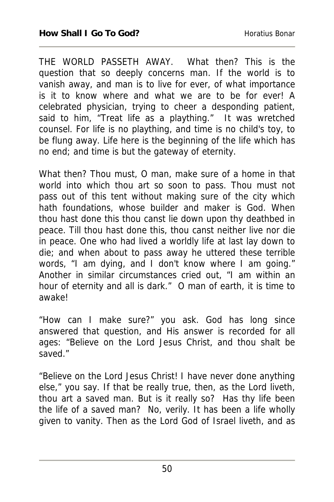THE WORLD PASSETH AWAY. What then? This is the question that so deeply concerns man. If the world is to vanish away, and man is to live for ever, of what importance is it to know where and what we are to be for ever! A celebrated physician, trying to cheer a desponding patient, said to him, "Treat life as a plaything." It was wretched counsel. For life is no plaything, and time is no child's toy, to be flung away. Life here is the beginning of the life which has no end; and time is but the gateway of eternity.

What then? Thou must, O man, make sure of a home in that world into which thou art so soon to pass. Thou must not pass out of this tent without making sure of the city which hath foundations, whose builder and maker is God. When thou hast done this thou canst lie down upon thy deathbed in peace. Till thou hast done this, thou canst neither live nor die in peace. One who had lived a worldly life at last lay down to die; and when about to pass away he uttered these terrible words, "I am dying, and I don't know where I am going." Another in similar circumstances cried out, "I am within an hour of eternity and all is dark." O man of earth, it is time to awake!

"How can I make sure?" you ask. God has long since answered that question, and His answer is recorded for all ages: "Believe on the Lord Jesus Christ, and thou shalt be saved."

"Believe on the Lord Jesus Christ! I have never done anything else," you say. If that be really true, then, as the Lord liveth, thou art a saved man. But is it really so? Has thy life been the life of a saved man? No, verily. It has been a life wholly given to vanity. Then as the Lord God of Israel liveth, and as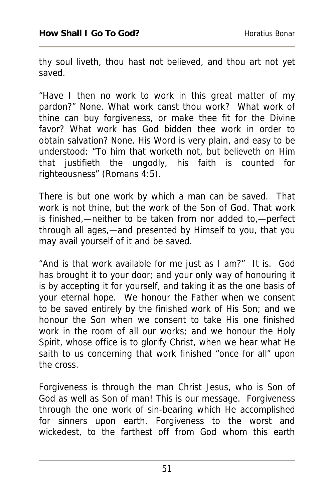thy soul liveth, thou hast not believed, and thou art not yet saved.

"Have I then no work to work in this great matter of my pardon?" None. What work canst thou work? What work of thine can buy forgiveness, or make thee fit for the Divine favor? What work has God bidden thee work in order to obtain salvation? None. His Word is very plain, and easy to be understood: "To him that worketh not, but believeth on Him that justifieth the ungodly, his faith is counted for righteousness" (Romans 4:5).

There is but one work by which a man can be saved. That work is not thine, but the work of the Son of God. That work is finished,—neither to be taken from nor added to,—perfect through all ages,—and presented by Himself to you, that you may avail yourself of it and be saved.

"And is that work available for me just as I am?" It is. God has brought it to your door; and your only way of honouring it is by accepting it for yourself, and taking it as the one basis of your eternal hope. We honour the Father when we consent to be saved entirely by the finished work of His Son; and we honour the Son when we consent to take His one finished work in the room of all our works; and we honour the Holy Spirit, whose office is to glorify Christ, when we hear what He saith to us concerning that work finished "once for all" upon the cross.

Forgiveness is through the man Christ Jesus, who is Son of God as well as Son of man! This is our message. Forgiveness through the one work of sin-bearing which He accomplished for sinners upon earth. Forgiveness to the worst and wickedest, to the farthest off from God whom this earth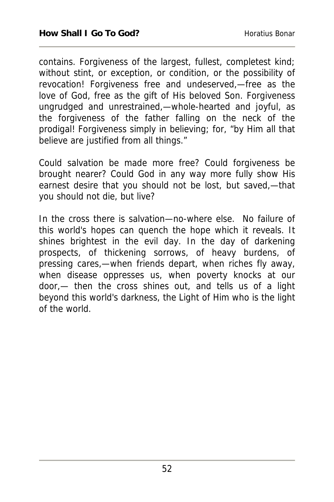contains. Forgiveness of the largest, fullest, completest kind; without stint, or exception, or condition, or the possibility of revocation! Forgiveness free and undeserved,—free as the love of God, free as the gift of His beloved Son. Forgiveness ungrudged and unrestrained,—whole-hearted and joyful, as the forgiveness of the father falling on the neck of the prodigal! Forgiveness simply in believing; for, "by Him all that believe are justified from all things."

Could salvation be made more free? Could forgiveness be brought nearer? Could God in any way more fully show His earnest desire that you should not be lost, but saved,—that you should not die, but live?

In the cross there is salvation—no-where else. No failure of this world's hopes can quench the hope which it reveals. It shines brightest in the evil day. In the day of darkening prospects, of thickening sorrows, of heavy burdens, of pressing cares,—when friends depart, when riches fly away, when disease oppresses us, when poverty knocks at our door,— then the cross shines out, and tells us of a light beyond this world's darkness, the Light of Him who is the light of the world.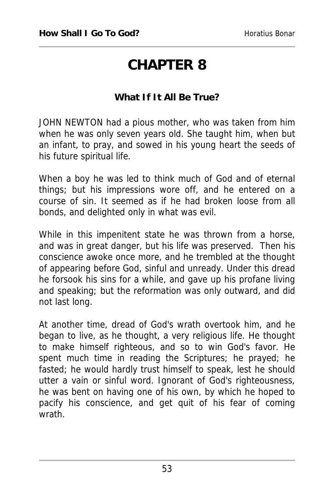### **CHAPTER 8**

#### **What If It All Be True?**

JOHN NEWTON had a pious mother, who was taken from him when he was only seven years old. She taught him, when but an infant, to pray, and sowed in his young heart the seeds of his future spiritual life.

When a boy he was led to think much of God and of eternal things; but his impressions wore off, and he entered on a course of sin. It seemed as if he had broken loose from all bonds, and delighted only in what was evil.

While in this impenitent state he was thrown from a horse, and was in great danger, but his life was preserved. Then his conscience awoke once more, and he trembled at the thought of appearing before God, sinful and unready. Under this dread he forsook his sins for a while, and gave up his profane living and speaking; but the reformation was only outward, and did not last long.

At another time, dread of God's wrath overtook him, and he began to live, as he thought, a very religious life. He thought to make himself righteous, and so to win God's favor. He spent much time in reading the Scriptures; he prayed; he fasted; he would hardly trust himself to speak, lest he should utter a vain or sinful word. Ignorant of God's righteousness, he was bent on having one of his own, by which he hoped to pacify his conscience, and get quit of his fear of coming wrath.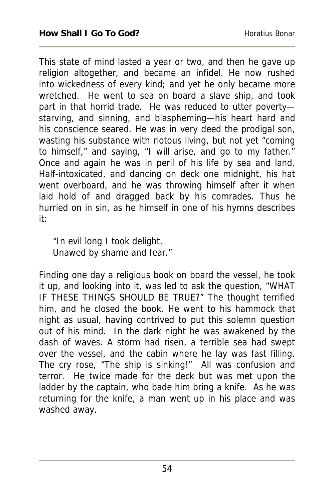This state of mind lasted a year or two, and then he gave up religion altogether, and became an infidel. He now rushed into wickedness of every kind; and yet he only became more wretched. He went to sea on board a slave ship, and took part in that horrid trade. He was reduced to utter povertystarving, and sinning, and blaspheming—his heart hard and his conscience seared. He was in very deed the prodigal son, wasting his substance with riotous living, but not yet "coming to himself," and saying, "I will arise, and go to my father." Once and again he was in peril of his life by sea and land. Half-intoxicated, and dancing on deck one midnight, his hat went overboard, and he was throwing himself after it when laid hold of and dragged back by his comrades. Thus he hurried on in sin, as he himself in one of his hymns describes it:

"In evil long I took delight, Unawed by shame and fear."

Finding one day a religious book on board the vessel, he took it up, and looking into it, was led to ask the question, "WHAT IF THESE THINGS SHOULD BE TRUE?" The thought terrified him, and he closed the book. He went to his hammock that night as usual, having contrived to put this solemn question out of his mind. In the dark night he was awakened by the dash of waves. A storm had risen, a terrible sea had swept over the vessel, and the cabin where he lay was fast filling. The cry rose, "The ship is sinking!" All was confusion and terror. He twice made for the deck but was met upon the ladder by the captain, who bade him bring a knife. As he was returning for the knife, a man went up in his place and was washed away.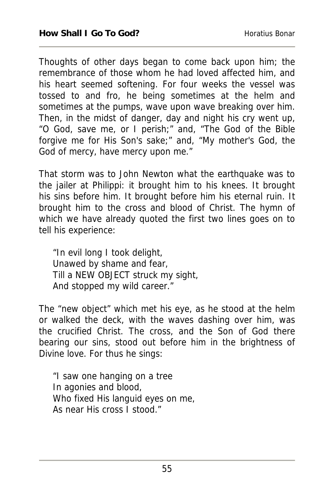Thoughts of other days began to come back upon him; the remembrance of those whom he had loved affected him, and his heart seemed softening. For four weeks the vessel was tossed to and fro, he being sometimes at the helm and sometimes at the pumps, wave upon wave breaking over him. Then, in the midst of danger, day and night his cry went up, "O God, save me, or I perish;" and, "The God of the Bible forgive me for His Son's sake;" and, "My mother's God, the God of mercy, have mercy upon me."

That storm was to John Newton what the earthquake was to the jailer at Philippi: it brought him to his knees. It brought his sins before him. It brought before him his eternal ruin. It brought him to the cross and blood of Christ. The hymn of which we have already quoted the first two lines goes on to tell his experience:

"In evil long I took delight, Unawed by shame and fear, Till a NEW OBJECT struck my sight, And stopped my wild career."

The "new object" which met his eye, as he stood at the helm or walked the deck, with the waves dashing over him, was the crucified Christ. The cross, and the Son of God there bearing our sins, stood out before him in the brightness of Divine love. For thus he sings:

"I saw one hanging on a tree In agonies and blood, Who fixed His languid eyes on me, As near His cross I stood."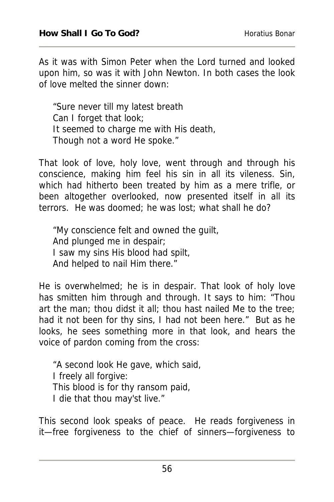As it was with Simon Peter when the Lord turned and looked upon him, so was it with John Newton. In both cases the look of love melted the sinner down:

"Sure never till my latest breath Can I forget that look; It seemed to charge me with His death, Though not a word He spoke."

That look of love, holy love, went through and through his conscience, making him feel his sin in all its vileness. Sin, which had hitherto been treated by him as a mere trifle, or been altogether overlooked, now presented itself in all its terrors. He was doomed; he was lost; what shall he do?

"My conscience felt and owned the guilt, And plunged me in despair; I saw my sins His blood had spilt, And helped to nail Him there."

He is overwhelmed; he is in despair. That look of holy love has smitten him through and through. It says to him: "Thou art the man; thou didst it all; thou hast nailed Me to the tree; had it not been for thy sins, I had not been here." But as he looks, he sees something more in that look, and hears the voice of pardon coming from the cross:

"A second look He gave, which said, I freely all forgive: This blood is for thy ransom paid, I die that thou may'st live."

This second look speaks of peace. He reads forgiveness in it—free forgiveness to the chief of sinners—forgiveness to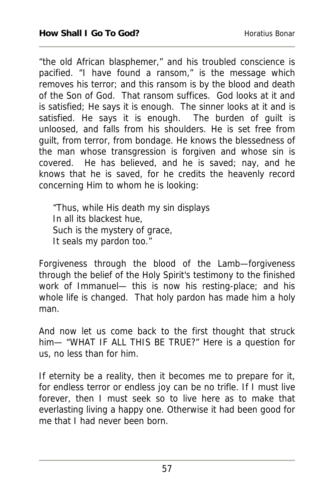"the old African blasphemer," and his troubled conscience is pacified. "I have found a ransom," is the message which removes his terror; and this ransom is by the blood and death of the Son of God. That ransom suffices. God looks at it and is satisfied; He says it is enough. The sinner looks at it and is satisfied. He says it is enough. The burden of guilt is unloosed, and falls from his shoulders. He is set free from guilt, from terror, from bondage. He knows the blessedness of the man whose transgression is forgiven and whose sin is covered. He has believed, and he is saved; nay, and he knows that he is saved, for he credits the heavenly record concerning Him to whom he is looking:

"Thus, while His death my sin displays In all its blackest hue, Such is the mystery of grace, It seals my pardon too."

Forgiveness through the blood of the Lamb—forgiveness through the belief of the Holy Spirit's testimony to the finished work of Immanuel— this is now his resting-place; and his whole life is changed. That holy pardon has made him a holy man.

And now let us come back to the first thought that struck him— "WHAT IF ALL THIS BE TRUE?" Here is a question for us, no less than for him.

If eternity be a reality, then it becomes me to prepare for it, for endless terror or endless joy can be no trifle. If I must live forever, then I must seek so to live here as to make that everlasting living a happy one. Otherwise it had been good for me that I had never been born.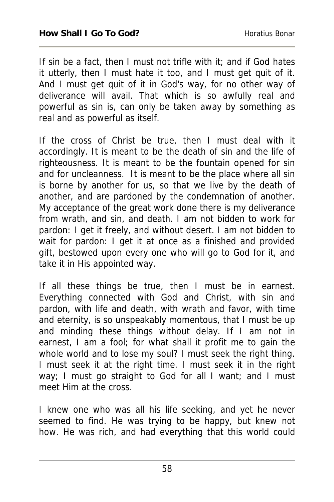If sin be a fact, then I must not trifle with it; and if God hates it utterly, then I must hate it too, and I must get quit of it. And I must get quit of it in God's way, for no other way of deliverance will avail. That which is so awfully real and powerful as sin is, can only be taken away by something as real and as powerful as itself.

If the cross of Christ be true, then I must deal with it accordingly. It is meant to be the death of sin and the life of righteousness. It is meant to be the fountain opened for sin and for uncleanness. It is meant to be the place where all sin is borne by another for us, so that we live by the death of another, and are pardoned by the condemnation of another. My acceptance of the great work done there is my deliverance from wrath, and sin, and death. I am not bidden to work for pardon: I get it freely, and without desert. I am not bidden to wait for pardon: I get it at once as a finished and provided gift, bestowed upon every one who will go to God for it, and take it in His appointed way.

If all these things be true, then I must be in earnest. Everything connected with God and Christ, with sin and pardon, with life and death, with wrath and favor, with time and eternity, is so unspeakably momentous, that I must be up and minding these things without delay. If I am not in earnest, I am a fool; for what shall it profit me to gain the whole world and to lose my soul? I must seek the right thing. I must seek it at the right time. I must seek it in the right way; I must go straight to God for all I want; and I must meet Him at the cross.

I knew one who was all his life seeking, and yet he never seemed to find. He was trying to be happy, but knew not how. He was rich, and had everything that this world could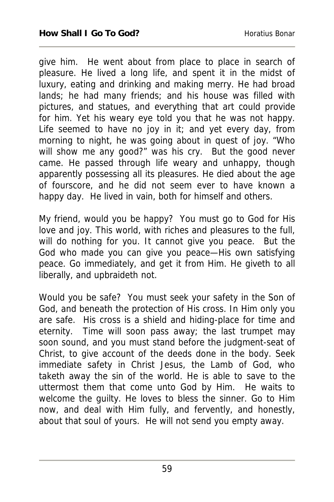give him. He went about from place to place in search of pleasure. He lived a long life, and spent it in the midst of luxury, eating and drinking and making merry. He had broad lands; he had many friends; and his house was filled with pictures, and statues, and everything that art could provide for him. Yet his weary eye told you that he was not happy. Life seemed to have no joy in it; and yet every day, from morning to night, he was going about in quest of joy. "Who will show me any good?" was his cry. But the good never came. He passed through life weary and unhappy, though apparently possessing all its pleasures. He died about the age of fourscore, and he did not seem ever to have known a happy day. He lived in vain, both for himself and others.

My friend, would you be happy? You must go to God for His love and joy. This world, with riches and pleasures to the full, will do nothing for you. It cannot give you peace. But the God who made you can give you peace—His own satisfying peace. Go immediately, and get it from Him. He giveth to all liberally, and upbraideth not.

Would you be safe? You must seek your safety in the Son of God, and beneath the protection of His cross. In Him only you are safe. His cross is a shield and hiding-place for time and eternity. Time will soon pass away; the last trumpet may soon sound, and you must stand before the judgment-seat of Christ, to give account of the deeds done in the body. Seek immediate safety in Christ Jesus, the Lamb of God, who taketh away the sin of the world. He is able to save to the uttermost them that come unto God by Him. He waits to welcome the guilty. He loves to bless the sinner. Go to Him now, and deal with Him fully, and fervently, and honestly, about that soul of yours. He will not send you empty away.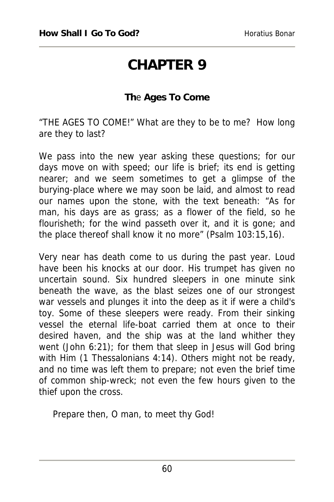### **CHAPTER 9**

#### **Th**e **Ages To Come**

"THE AGES TO COME!" What are they to be to me? How long are they to last?

We pass into the new year asking these questions; for our days move on with speed; our life is brief; its end is getting nearer; and we seem sometimes to get a glimpse of the burying-place where we may soon be laid, and almost to read our names upon the stone, with the text beneath: "As for man, his days are as grass; as a flower of the field, so he flourisheth; for the wind passeth over it, and it is gone; and the place thereof shall know it no more" (Psalm 103:15,16).

Very near has death come to us during the past year. Loud have been his knocks at our door. His trumpet has given no uncertain sound. Six hundred sleepers in one minute sink beneath the wave, as the blast seizes one of our strongest war vessels and plunges it into the deep as it if were a child's toy. Some of these sleepers were ready. From their sinking vessel the eternal life-boat carried them at once to their desired haven, and the ship was at the land whither they went (John 6:21); for them that sleep in Jesus will God bring with Him (1 Thessalonians 4:14). Others might not be ready, and no time was left them to prepare; not even the brief time of common ship-wreck; not even the few hours given to the thief upon the cross.

Prepare then, O man, to meet thy God!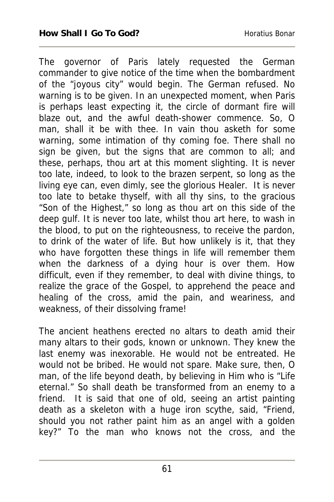The governor of Paris lately requested the German commander to give notice of the time when the bombardment of the "joyous city" would begin. The German refused. No warning is to be given. In an unexpected moment, when Paris is perhaps least expecting it, the circle of dormant fire will blaze out, and the awful death-shower commence. So, O man, shall it be with thee. In vain thou asketh for some warning, some intimation of thy coming foe. There shall no sign be given, but the signs that are common to all; and these, perhaps, thou art at this moment slighting. It is never too late, indeed, to look to the brazen serpent, so long as the living eye can, even dimly, see the glorious Healer. It is never too late to betake thyself, with all thy sins, to the gracious "Son of the Highest," so long as thou art on this side of the deep gulf. It is never too late, whilst thou art here, to wash in the blood, to put on the righteousness, to receive the pardon, to drink of the water of life. But how unlikely is it, that they who have forgotten these things in life will remember them when the darkness of a dying hour is over them. How difficult, even if they remember, to deal with divine things, to realize the grace of the Gospel, to apprehend the peace and healing of the cross, amid the pain, and weariness, and weakness, of their dissolving frame!

The ancient heathens erected no altars to death amid their many altars to their gods, known or unknown. They knew the last enemy was inexorable. He would not be entreated. He would not be bribed. He would not spare. Make sure, then, O man, of the life beyond death, by believing in Him who is "Life eternal." So shall death be transformed from an enemy to a friend. It is said that one of old, seeing an artist painting death as a skeleton with a huge iron scythe, said, "Friend, should you not rather paint him as an angel with a golden key?" To the man who knows not the cross, and the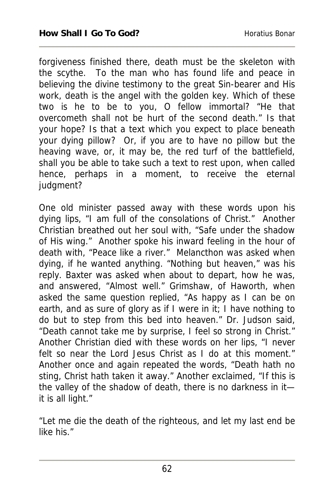forgiveness finished there, death must be the skeleton with the scythe. To the man who has found life and peace in believing the divine testimony to the great Sin-bearer and His work, death is the angel with the golden key. Which of these two is he to be to you, O fellow immortal? "He that overcometh shall not be hurt of the second death." Is that your hope? Is that a text which you expect to place beneath your dying pillow? Or, if you are to have no pillow but the heaving wave, or, it may be, the red turf of the battlefield, shall you be able to take such a text to rest upon, when called hence, perhaps in a moment, to receive the eternal judgment?

One old minister passed away with these words upon his dying lips, "I am full of the consolations of Christ." Another Christian breathed out her soul with, "Safe under the shadow of His wing." Another spoke his inward feeling in the hour of death with, "Peace like a river." Melancthon was asked when dying, if he wanted anything. "Nothing but heaven," was his reply. Baxter was asked when about to depart, how he was, and answered, "Almost well." Grimshaw, of Haworth, when asked the same question replied, "As happy as I can be on earth, and as sure of glory as if I were in it; I have nothing to do but to step from this bed into heaven." Dr. Judson said, "Death cannot take me by surprise, I feel so strong in Christ." Another Christian died with these words on her lips, "I never felt so near the Lord Jesus Christ as I do at this moment." Another once and again repeated the words, "Death hath no sting, Christ hath taken it away." Another exclaimed, "If this is the valley of the shadow of death, there is no darkness in it it is all light."

"Let me die the death of the righteous, and let my last end be like his."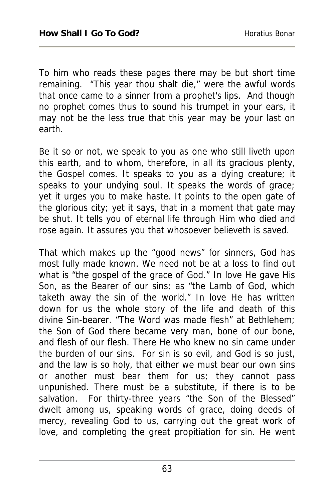To him who reads these pages there may be but short time remaining. "This year thou shalt die," were the awful words that once came to a sinner from a prophet's lips. And though no prophet comes thus to sound his trumpet in your ears, it may not be the less true that this year may be your last on earth.

Be it so or not, we speak to you as one who still liveth upon this earth, and to whom, therefore, in all its gracious plenty, the Gospel comes. It speaks to you as a dying creature; it speaks to your undying soul. It speaks the words of grace; yet it urges you to make haste. It points to the open gate of the glorious city; yet it says, that in a moment that gate may be shut. It tells you of eternal life through Him who died and rose again. It assures you that whosoever believeth is saved.

That which makes up the "good news" for sinners, God has most fully made known. We need not be at a loss to find out what is "the gospel of the grace of God." In love He gave His Son, as the Bearer of our sins; as "the Lamb of God, which taketh away the sin of the world." In love He has written down for us the whole story of the life and death of this divine Sin-bearer. "The Word was made flesh" at Bethlehem; the Son of God there became very man, bone of our bone, and flesh of our flesh. There He who knew no sin came under the burden of our sins. For sin is so evil, and God is so just, and the law is so holy, that either we must bear our own sins or another must bear them for us; they cannot pass unpunished. There must be a substitute, if there is to be salvation. For thirty-three years "the Son of the Blessed" dwelt among us, speaking words of grace, doing deeds of mercy, revealing God to us, carrying out the great work of love, and completing the great propitiation for sin. He went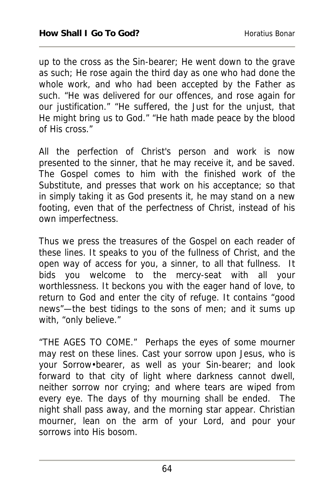up to the cross as the Sin-bearer; He went down to the grave as such; He rose again the third day as one who had done the whole work, and who had been accepted by the Father as such. "He was delivered for our offences, and rose again for our justification." "He suffered, the Just for the unjust, that He might bring us to God." "He hath made peace by the blood of His cross."

All the perfection of Christ's person and work is now presented to the sinner, that he may receive it, and be saved. The Gospel comes to him with the finished work of the Substitute, and presses that work on his acceptance; so that in simply taking it as God presents it, he may stand on a new footing, even that of the perfectness of Christ, instead of his own imperfectness.

Thus we press the treasures of the Gospel on each reader of these lines. It speaks to you of the fullness of Christ, and the open way of access for you, a sinner, to all that fullness. It bids you welcome to the mercy-seat with all your worthlessness. It beckons you with the eager hand of love, to return to God and enter the city of refuge. It contains "good news"—the best tidings to the sons of men; and it sums up with, "only believe."

"THE AGES TO COME." Perhaps the eyes of some mourner may rest on these lines. Cast your sorrow upon Jesus, who is your Sorrow•bearer, as well as your Sin-bearer; and look forward to that city of light where darkness cannot dwell, neither sorrow nor crying; and where tears are wiped from every eye. The days of thy mourning shall be ended. The night shall pass away, and the morning star appear. Christian mourner, lean on the arm of your Lord, and pour your sorrows into His bosom.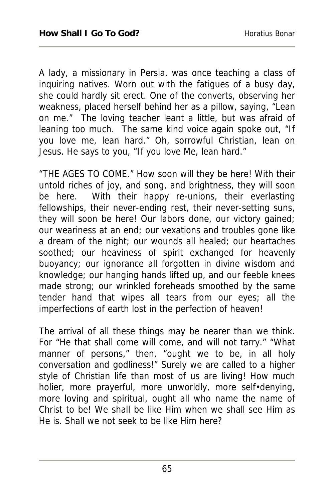A lady, a missionary in Persia, was once teaching a class of inquiring natives. Worn out with the fatigues of a busy day, she could hardly sit erect. One of the converts, observing her weakness, placed herself behind her as a pillow, saying, "Lean on me." The loving teacher leant a little, but was afraid of leaning too much. The same kind voice again spoke out, "If you love me, lean hard." Oh, sorrowful Christian, lean on Jesus. He says to you, "If you love Me, lean hard."

"THE AGES TO COME." How soon will they be here! With their untold riches of joy, and song, and brightness, they will soon be here. With their happy re-unions, their everlasting fellowships, their never-ending rest, their never-setting suns, they will soon be here! Our labors done, our victory gained; our weariness at an end; our vexations and troubles gone like a dream of the night; our wounds all healed; our heartaches soothed; our heaviness of spirit exchanged for heavenly buoyancy; our ignorance all forgotten in divine wisdom and knowledge; our hanging hands lifted up, and our feeble knees made strong; our wrinkled foreheads smoothed by the same tender hand that wipes all tears from our eyes; all the imperfections of earth lost in the perfection of heaven!

The arrival of all these things may be nearer than we think. For "He that shall come will come, and will not tarry." "What manner of persons," then, "ought we to be, in all holy conversation and godliness!" Surely we are called to a higher style of Christian life than most of us are living! How much holier, more prayerful, more unworldly, more self•denying, more loving and spiritual, ought all who name the name of Christ to be! We shall be like Him when we shall see Him as He is. Shall we not seek to be like Him here?